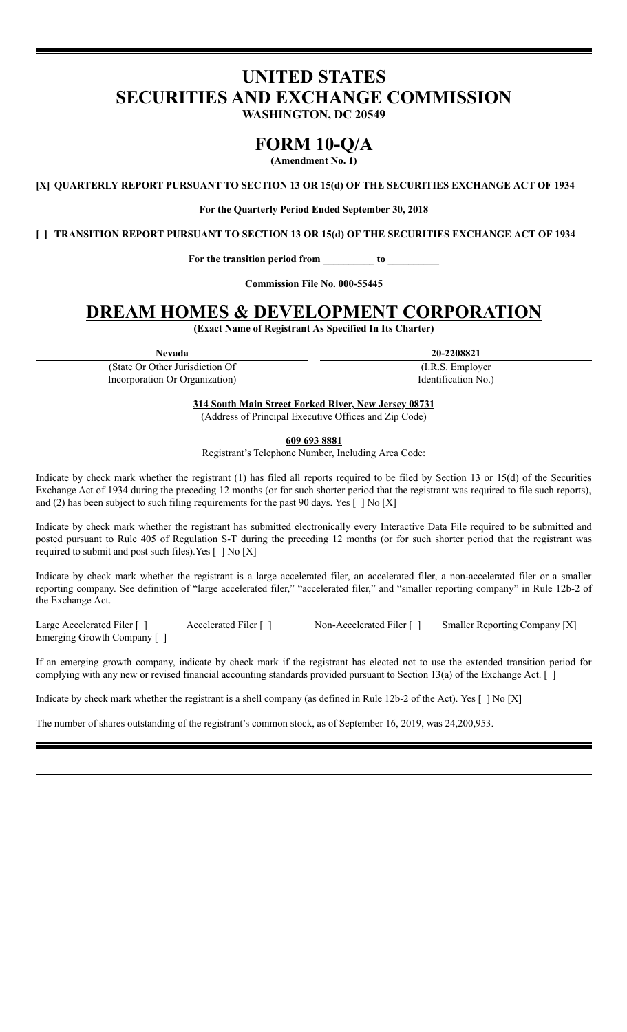# **UNITED STATES SECURITIES AND EXCHANGE COMMISSION**

**WASHINGTON, DC 20549**

## **FORM 10-Q/A**

**(Amendment No. 1)**

**[X] QUARTERLY REPORT PURSUANT TO SECTION 13 OR 15(d) OF THE SECURITIES EXCHANGE ACT OF 1934**

**For the Quarterly Period Ended September 30, 2018**

**[ ] TRANSITION REPORT PURSUANT TO SECTION 13 OR 15(d) OF THE SECURITIES EXCHANGE ACT OF 1934**

**For the transition period from \_\_\_\_\_\_\_\_\_\_ to \_\_\_\_\_\_\_\_\_\_**

**Commission File No. 000-55445**

# **DREAM HOMES & DEVELOPMENT CORPORATION**

**(Exact Name of Registrant As Specified In Its Charter)**

(State Or Other Jurisdiction Of Incorporation Or Organization)

**Nevada 20-2208821** (I.R.S. Employer

Identification No.)

**314 South Main Street Forked River, New Jersey 08731** (Address of Principal Executive Offices and Zip Code)

**609 693 8881**

Registrant's Telephone Number, Including Area Code:

Indicate by check mark whether the registrant (1) has filed all reports required to be filed by Section 13 or 15(d) of the Securities Exchange Act of 1934 during the preceding 12 months (or for such shorter period that the registrant was required to file such reports), and (2) has been subject to such filing requirements for the past 90 days. Yes  $\lceil \; \rceil$  No  $\lceil X \rceil$ 

Indicate by check mark whether the registrant has submitted electronically every Interactive Data File required to be submitted and posted pursuant to Rule 405 of Regulation S-T during the preceding 12 months (or for such shorter period that the registrant was required to submit and post such files).Yes [ ] No [X]

Indicate by check mark whether the registrant is a large accelerated filer, an accelerated filer, a non-accelerated filer or a smaller reporting company. See definition of "large accelerated filer," "accelerated filer," and "smaller reporting company" in Rule 12b-2 of the Exchange Act.

Large Accelerated Filer [ ] Accelerated Filer [ ] Non-Accelerated Filer [ ] Smaller Reporting Company [X] Emerging Growth Company [ ]

If an emerging growth company, indicate by check mark if the registrant has elected not to use the extended transition period for complying with any new or revised financial accounting standards provided pursuant to Section 13(a) of the Exchange Act. [ ]

Indicate by check mark whether the registrant is a shell company (as defined in Rule 12b-2 of the Act). Yes [ ] No [X]

The number of shares outstanding of the registrant's common stock, as of September 16, 2019, was 24,200,953.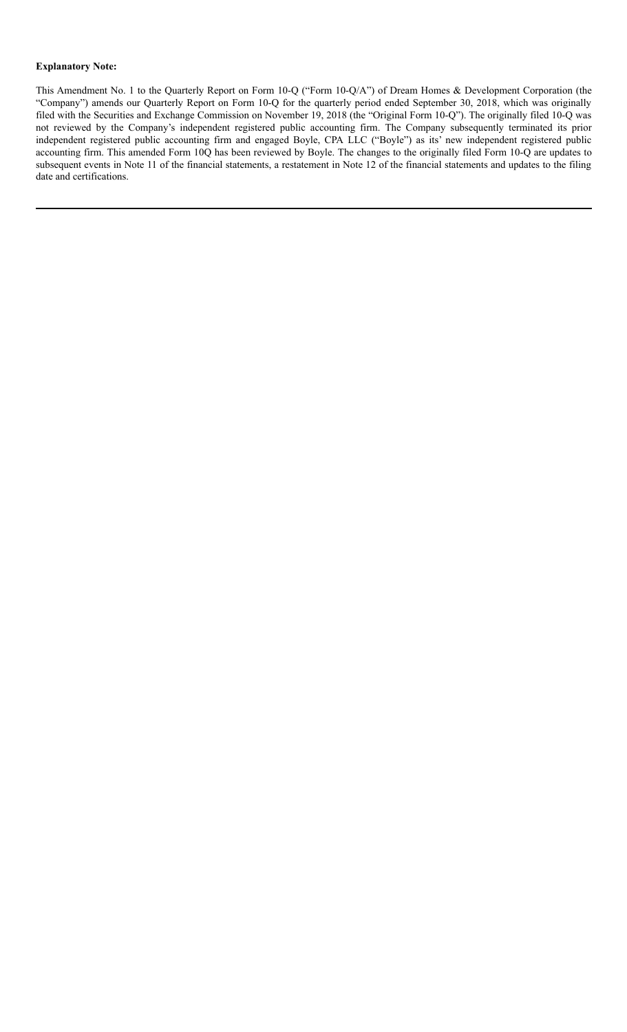## **Explanatory Note:**

This Amendment No. 1 to the Quarterly Report on Form 10-Q ("Form 10-Q/A") of Dream Homes & Development Corporation (the "Company") amends our Quarterly Report on Form 10-Q for the quarterly period ended September 30, 2018, which was originally filed with the Securities and Exchange Commission on November 19, 2018 (the "Original Form 10-Q"). The originally filed 10-Q was not reviewed by the Company's independent registered public accounting firm. The Company subsequently terminated its prior independent registered public accounting firm and engaged Boyle, CPA LLC ("Boyle") as its' new independent registered public accounting firm. This amended Form 10Q has been reviewed by Boyle. The changes to the originally filed Form 10-Q are updates to subsequent events in Note 11 of the financial statements, a restatement in Note 12 of the financial statements and updates to the filing date and certifications.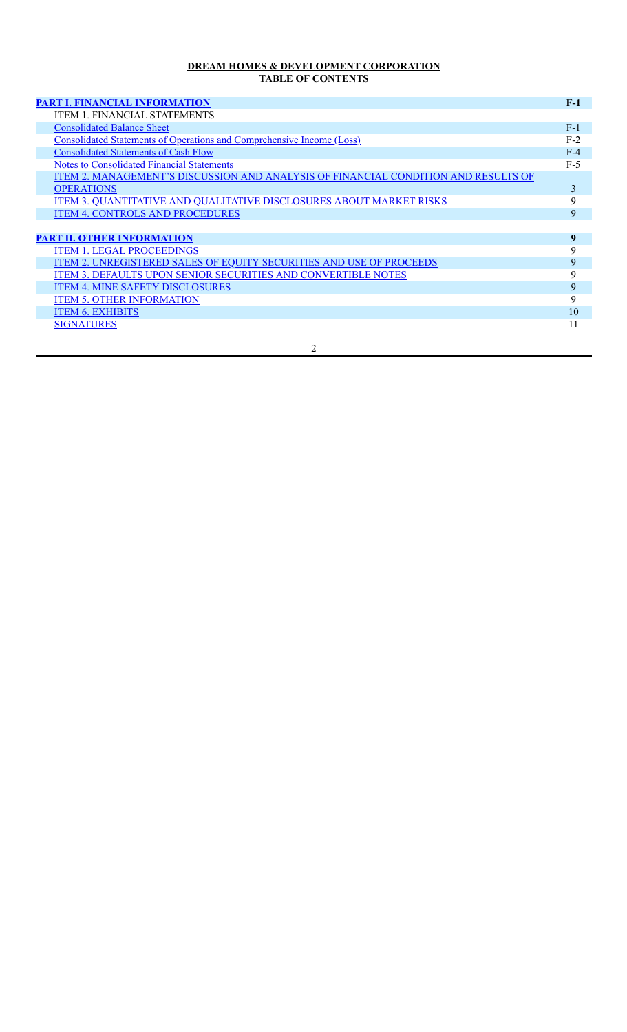#### **DREAM HOMES & DEVELOPMENT CORPORATION TABLE OF CONTENTS**

| <b>PART I. FINANCIAL INFORMATION</b>                                               | $F-1$ |
|------------------------------------------------------------------------------------|-------|
| <b>ITEM 1. FINANCIAL STATEMENTS</b>                                                |       |
| <b>Consolidated Balance Sheet</b>                                                  | $F-1$ |
| <b>Consolidated Statements of Operations and Comprehensive Income (Loss)</b>       | $F-2$ |
| <b>Consolidated Statements of Cash Flow</b>                                        | $F-4$ |
| <b>Notes to Consolidated Financial Statements</b>                                  | $F-5$ |
| ITEM 2. MANAGEMENT'S DISCUSSION AND ANALYSIS OF FINANCIAL CONDITION AND RESULTS OF |       |
| <b>OPERATIONS</b>                                                                  | 3     |
| <b>ITEM 3. QUANTITATIVE AND QUALITATIVE DISCLOSURES ABOUT MARKET RISKS</b>         | 9     |
| <b>ITEM 4. CONTROLS AND PROCEDURES</b>                                             | 9     |
|                                                                                    |       |
| <b>PART II. OTHER INFORMATION</b>                                                  | 9     |
| <b>ITEM 1. LEGAL PROCEEDINGS</b>                                                   | 9     |
| ITEM 2. UNREGISTERED SALES OF EQUITY SECURITIES AND USE OF PROCEEDS                | 9     |
| ITEM 3. DEFAULTS UPON SENIOR SECURITIES AND CONVERTIBLE NOTES                      | 9     |
| <b>ITEM 4. MINE SAFETY DISCLOSURES</b>                                             | 9     |
| <b>ITEM 5. OTHER INFORMATION</b>                                                   | 9     |
| <b>ITEM 6. EXHIBITS</b>                                                            | 10    |
| <b>SIGNATURES</b>                                                                  | 11    |

2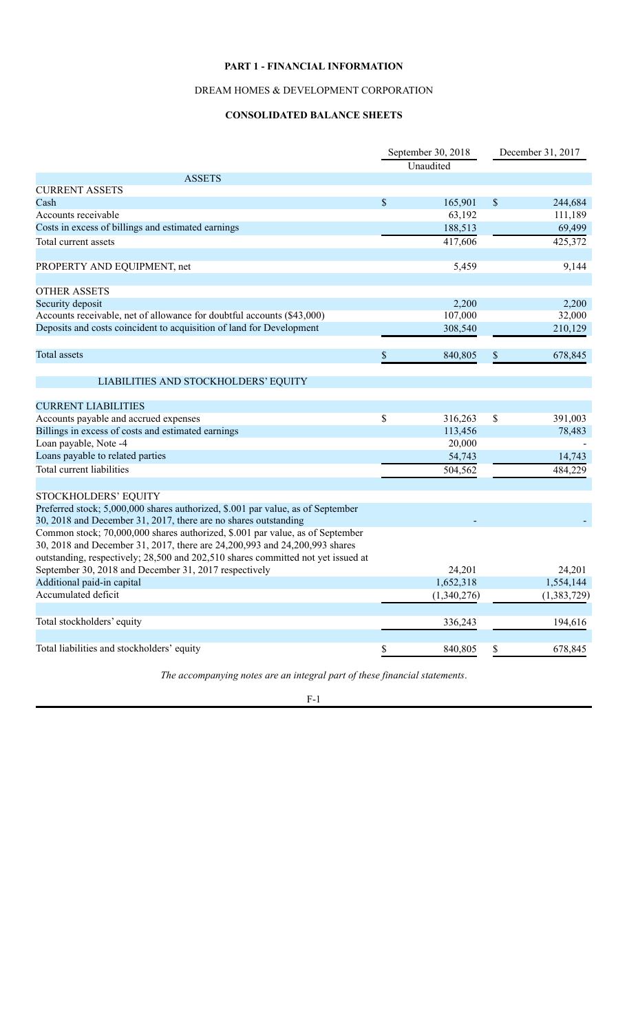## **PART 1 - FINANCIAL INFORMATION**

## DREAM HOMES & DEVELOPMENT CORPORATION

## **CONSOLIDATED BALANCE SHEETS**

<span id="page-3-1"></span><span id="page-3-0"></span>

|                                                                                                                                                                 | September 30, 2018<br>Unaudited |             | December 31, 2017         |             |
|-----------------------------------------------------------------------------------------------------------------------------------------------------------------|---------------------------------|-------------|---------------------------|-------------|
| <b>ASSETS</b>                                                                                                                                                   |                                 |             |                           |             |
| <b>CURRENT ASSETS</b>                                                                                                                                           |                                 |             |                           |             |
| Cash                                                                                                                                                            | $\sqrt{\ }$                     | 165,901     | \$                        | 244,684     |
| Accounts receivable                                                                                                                                             |                                 | 63,192      |                           | 111,189     |
| Costs in excess of billings and estimated earnings                                                                                                              |                                 | 188,513     |                           | 69,499      |
| Total current assets                                                                                                                                            |                                 | 417,606     |                           | 425,372     |
| PROPERTY AND EQUIPMENT, net                                                                                                                                     |                                 | 5,459       |                           | 9,144       |
| <b>OTHER ASSETS</b>                                                                                                                                             |                                 |             |                           |             |
| Security deposit                                                                                                                                                |                                 | 2,200       |                           | 2,200       |
| Accounts receivable, net of allowance for doubtful accounts (\$43,000)                                                                                          |                                 | 107,000     |                           | 32,000      |
| Deposits and costs coincident to acquisition of land for Development                                                                                            |                                 | 308,540     |                           | 210,129     |
| <b>Total assets</b>                                                                                                                                             | \$                              | 840,805     | $\boldsymbol{\mathsf{S}}$ | 678,845     |
| LIABILITIES AND STOCKHOLDERS' EQUITY                                                                                                                            |                                 |             |                           |             |
| <b>CURRENT LIABILITIES</b>                                                                                                                                      |                                 |             |                           |             |
| Accounts payable and accrued expenses                                                                                                                           | \$                              | 316,263     | \$                        | 391,003     |
| Billings in excess of costs and estimated earnings                                                                                                              |                                 | 113,456     |                           | 78,483      |
| Loan payable, Note -4                                                                                                                                           |                                 | 20,000      |                           |             |
| Loans payable to related parties                                                                                                                                |                                 | 54,743      |                           | 14,743      |
| Total current liabilities                                                                                                                                       |                                 | 504,562     |                           | 484,229     |
| STOCKHOLDERS' EQUITY                                                                                                                                            |                                 |             |                           |             |
| Preferred stock; 5,000,000 shares authorized, \$.001 par value, as of September                                                                                 |                                 |             |                           |             |
| 30, 2018 and December 31, 2017, there are no shares outstanding                                                                                                 |                                 |             |                           |             |
| Common stock; 70,000,000 shares authorized, \$.001 par value, as of September<br>30, 2018 and December 31, 2017, there are 24, 200, 993 and 24, 200, 993 shares |                                 |             |                           |             |
| outstanding, respectively; 28,500 and 202,510 shares committed not yet issued at                                                                                |                                 |             |                           |             |
| September 30, 2018 and December 31, 2017 respectively                                                                                                           |                                 | 24,201      |                           | 24,201      |
| Additional paid-in capital                                                                                                                                      |                                 | 1,652,318   |                           | 1,554,144   |
| Accumulated deficit                                                                                                                                             |                                 | (1,340,276) |                           | (1,383,729) |
| Total stockholders' equity                                                                                                                                      |                                 | 336,243     |                           | 194,616     |
| Total liabilities and stockholders' equity                                                                                                                      | \$                              | 840,805     | \$                        | 678,845     |

*The accompanying notes are an integral part of these financial statements*.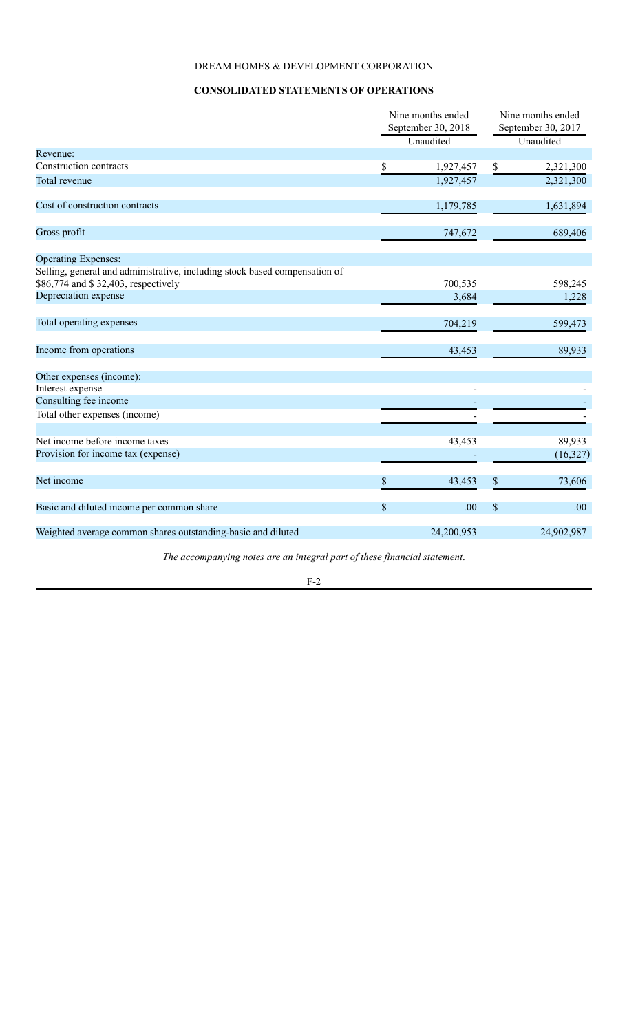## DREAM HOMES & DEVELOPMENT CORPORATION

## **CONSOLIDATED STATEMENTS OF OPERATIONS**

<span id="page-4-0"></span>

|                                                                                                                   | September 30, 2018<br>Unaudited | Nine months ended<br>September 30, 2017<br>Unaudited |            |  |
|-------------------------------------------------------------------------------------------------------------------|---------------------------------|------------------------------------------------------|------------|--|
| Revenue:                                                                                                          |                                 |                                                      |            |  |
| Construction contracts                                                                                            | \$<br>1,927,457                 | \$                                                   | 2,321,300  |  |
| Total revenue                                                                                                     | 1,927,457                       |                                                      | 2,321,300  |  |
| Cost of construction contracts                                                                                    | 1,179,785                       |                                                      | 1,631,894  |  |
| Gross profit                                                                                                      | 747,672                         |                                                      | 689,406    |  |
| <b>Operating Expenses:</b>                                                                                        |                                 |                                                      |            |  |
| Selling, general and administrative, including stock based compensation of<br>\$86,774 and \$32,403, respectively | 700,535                         |                                                      | 598,245    |  |
| Depreciation expense                                                                                              | 3,684                           |                                                      | 1,228      |  |
| Total operating expenses                                                                                          | 704,219                         |                                                      | 599,473    |  |
| Income from operations                                                                                            | 43,453                          |                                                      | 89,933     |  |
| Other expenses (income):                                                                                          |                                 |                                                      |            |  |
| Interest expense                                                                                                  |                                 |                                                      |            |  |
| Consulting fee income                                                                                             |                                 |                                                      |            |  |
| Total other expenses (income)                                                                                     |                                 |                                                      |            |  |
| Net income before income taxes                                                                                    | 43,453                          |                                                      | 89,933     |  |
| Provision for income tax (expense)                                                                                |                                 |                                                      | (16, 327)  |  |
| Net income                                                                                                        | \$<br>43,453                    | $\$$                                                 | 73,606     |  |
| Basic and diluted income per common share                                                                         | \$<br>.00                       | \$                                                   | .00.       |  |
| Weighted average common shares outstanding-basic and diluted                                                      | 24,200,953                      |                                                      | 24,902,987 |  |

*The accompanying notes are an integral part of these financial statement*.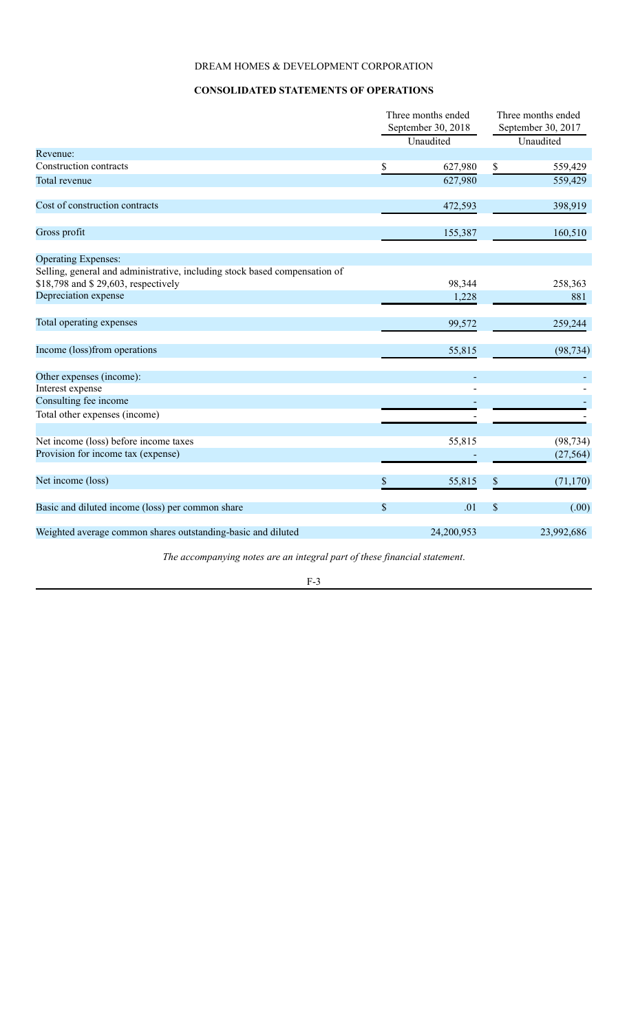## DREAM HOMES & DEVELOPMENT CORPORATION

## **CONSOLIDATED STATEMENTS OF OPERATIONS**

|                                                                                                                   | Three months ended<br>September 30, 2018<br>Unaudited |            |    | Three months ended<br>September 30, 2017<br>Unaudited |  |
|-------------------------------------------------------------------------------------------------------------------|-------------------------------------------------------|------------|----|-------------------------------------------------------|--|
| Revenue:                                                                                                          |                                                       |            |    |                                                       |  |
| Construction contracts                                                                                            | \$                                                    | 627,980    | \$ | 559,429                                               |  |
| Total revenue                                                                                                     |                                                       | 627,980    |    | 559,429                                               |  |
| Cost of construction contracts                                                                                    |                                                       | 472,593    |    | 398,919                                               |  |
| Gross profit                                                                                                      |                                                       | 155,387    |    | 160,510                                               |  |
| <b>Operating Expenses:</b>                                                                                        |                                                       |            |    |                                                       |  |
| Selling, general and administrative, including stock based compensation of<br>\$18,798 and \$29,603, respectively |                                                       | 98,344     |    | 258,363                                               |  |
| Depreciation expense                                                                                              |                                                       | 1,228      |    | 881                                                   |  |
| Total operating expenses                                                                                          |                                                       | 99,572     |    | 259,244                                               |  |
| Income (loss)from operations                                                                                      |                                                       | 55,815     |    | (98, 734)                                             |  |
| Other expenses (income):                                                                                          |                                                       |            |    |                                                       |  |
| Interest expense                                                                                                  |                                                       |            |    |                                                       |  |
| Consulting fee income                                                                                             |                                                       |            |    |                                                       |  |
| Total other expenses (income)                                                                                     |                                                       |            |    |                                                       |  |
| Net income (loss) before income taxes                                                                             |                                                       | 55,815     |    | (98, 734)                                             |  |
| Provision for income tax (expense)                                                                                |                                                       |            |    | (27, 564)                                             |  |
| Net income (loss)                                                                                                 | \$                                                    | 55,815     | \$ | (71, 170)                                             |  |
| Basic and diluted income (loss) per common share                                                                  | \$                                                    | .01        | \$ | (.00)                                                 |  |
| Weighted average common shares outstanding-basic and diluted                                                      |                                                       | 24,200,953 |    | 23,992,686                                            |  |

*The accompanying notes are an integral part of these financial statement*.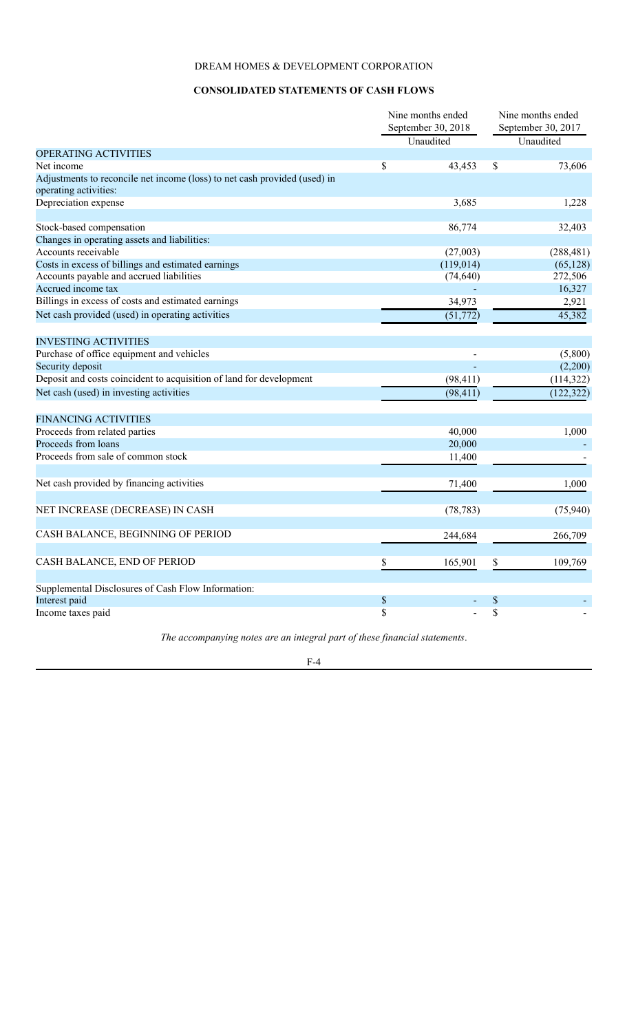## DREAM HOMES & DEVELOPMENT CORPORATION

## **CONSOLIDATED STATEMENTS OF CASH FLOWS**

<span id="page-6-0"></span>

|                                                                                                    |      | Nine months ended<br>September 30, 2018<br>Unaudited | Nine months ended<br>September 30, 2017<br>Unaudited |            |
|----------------------------------------------------------------------------------------------------|------|------------------------------------------------------|------------------------------------------------------|------------|
| <b>OPERATING ACTIVITIES</b>                                                                        |      |                                                      |                                                      |            |
| Net income                                                                                         | \$   | 43,453                                               | \$                                                   | 73,606     |
| Adjustments to reconcile net income (loss) to net cash provided (used) in<br>operating activities: |      |                                                      |                                                      |            |
| Depreciation expense                                                                               |      | 3,685                                                |                                                      | 1,228      |
|                                                                                                    |      |                                                      |                                                      |            |
| Stock-based compensation                                                                           |      | 86,774                                               |                                                      | 32,403     |
| Changes in operating assets and liabilities:                                                       |      |                                                      |                                                      |            |
| Accounts receivable                                                                                |      | (27,003)                                             |                                                      | (288, 481) |
| Costs in excess of billings and estimated earnings                                                 |      | (119,014)                                            |                                                      | (65, 128)  |
| Accounts payable and accrued liabilities                                                           |      | (74, 640)                                            |                                                      | 272,506    |
| Accrued income tax                                                                                 |      |                                                      |                                                      | 16,327     |
| Billings in excess of costs and estimated earnings                                                 |      | 34,973                                               |                                                      | 2,921      |
| Net cash provided (used) in operating activities                                                   |      | (51, 772)                                            |                                                      | 45,382     |
| <b>INVESTING ACTIVITIES</b>                                                                        |      |                                                      |                                                      |            |
| Purchase of office equipment and vehicles                                                          |      |                                                      |                                                      | (5,800)    |
| Security deposit                                                                                   |      |                                                      |                                                      | (2,200)    |
| Deposit and costs coincident to acquisition of land for development                                |      | (98, 411)                                            |                                                      | (114, 322) |
| Net cash (used) in investing activities                                                            |      | (98, 411)                                            |                                                      | (122, 322) |
| <b>FINANCING ACTIVITIES</b>                                                                        |      |                                                      |                                                      |            |
| Proceeds from related parties                                                                      |      | 40,000                                               |                                                      | 1,000      |
| Proceeds from loans                                                                                |      | 20,000                                               |                                                      |            |
| Proceeds from sale of common stock                                                                 |      | 11,400                                               |                                                      |            |
| Net cash provided by financing activities                                                          |      | 71,400                                               |                                                      | 1,000      |
| NET INCREASE (DECREASE) IN CASH                                                                    |      | (78, 783)                                            |                                                      | (75, 940)  |
| CASH BALANCE, BEGINNING OF PERIOD                                                                  |      | 244,684                                              |                                                      | 266,709    |
| CASH BALANCE, END OF PERIOD                                                                        | \$   | 165,901                                              | \$                                                   | 109,769    |
| Supplemental Disclosures of Cash Flow Information:                                                 |      |                                                      |                                                      |            |
| Interest paid                                                                                      | $\$$ |                                                      | \$                                                   |            |
| Income taxes paid                                                                                  | \$   |                                                      | \$                                                   |            |

*The accompanying notes are an integral part of these financial statements*.

F-4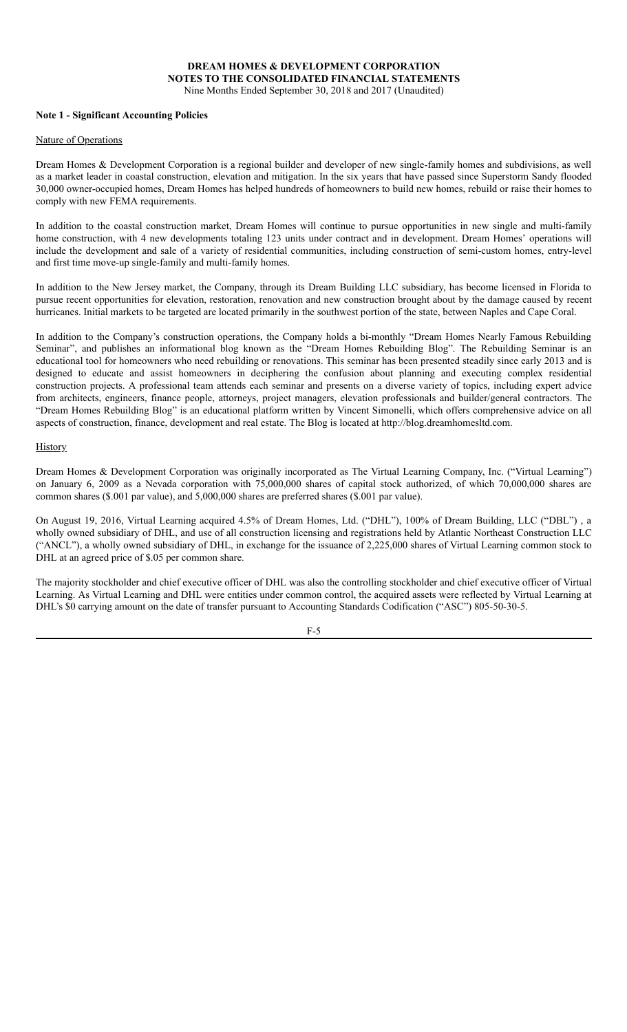## **DREAM HOMES & DEVELOPMENT CORPORATION NOTES TO THE CONSOLIDATED FINANCIAL STATEMENTS**

Nine Months Ended September 30, 2018 and 2017 (Unaudited)

## <span id="page-7-0"></span>**Note 1 - Significant Accounting Policies**

## Nature of Operations

Dream Homes & Development Corporation is a regional builder and developer of new single-family homes and subdivisions, as well as a market leader in coastal construction, elevation and mitigation. In the six years that have passed since Superstorm Sandy flooded 30,000 owner-occupied homes, Dream Homes has helped hundreds of homeowners to build new homes, rebuild or raise their homes to comply with new FEMA requirements.

In addition to the coastal construction market, Dream Homes will continue to pursue opportunities in new single and multi-family home construction, with 4 new developments totaling 123 units under contract and in development. Dream Homes' operations will include the development and sale of a variety of residential communities, including construction of semi-custom homes, entry-level and first time move-up single-family and multi-family homes.

In addition to the New Jersey market, the Company, through its Dream Building LLC subsidiary, has become licensed in Florida to pursue recent opportunities for elevation, restoration, renovation and new construction brought about by the damage caused by recent hurricanes. Initial markets to be targeted are located primarily in the southwest portion of the state, between Naples and Cape Coral.

In addition to the Company's construction operations, the Company holds a bi-monthly "Dream Homes Nearly Famous Rebuilding Seminar", and publishes an informational blog known as the "Dream Homes Rebuilding Blog". The Rebuilding Seminar is an educational tool for homeowners who need rebuilding or renovations. This seminar has been presented steadily since early 2013 and is designed to educate and assist homeowners in deciphering the confusion about planning and executing complex residential construction projects. A professional team attends each seminar and presents on a diverse variety of topics, including expert advice from architects, engineers, finance people, attorneys, project managers, elevation professionals and builder/general contractors. The "Dream Homes Rebuilding Blog" is an educational platform written by Vincent Simonelli, which offers comprehensive advice on all aspects of construction, finance, development and real estate. The Blog is located at http://blog.dreamhomesltd.com.

## **History**

Dream Homes & Development Corporation was originally incorporated as The Virtual Learning Company, Inc. ("Virtual Learning") on January 6, 2009 as a Nevada corporation with 75,000,000 shares of capital stock authorized, of which 70,000,000 shares are common shares (\$.001 par value), and 5,000,000 shares are preferred shares (\$.001 par value).

On August 19, 2016, Virtual Learning acquired 4.5% of Dream Homes, Ltd. ("DHL"), 100% of Dream Building, LLC ("DBL") , a wholly owned subsidiary of DHL, and use of all construction licensing and registrations held by Atlantic Northeast Construction LLC ("ANCL"), a wholly owned subsidiary of DHL, in exchange for the issuance of 2,225,000 shares of Virtual Learning common stock to DHL at an agreed price of \$.05 per common share.

The majority stockholder and chief executive officer of DHL was also the controlling stockholder and chief executive officer of Virtual Learning. As Virtual Learning and DHL were entities under common control, the acquired assets were reflected by Virtual Learning at DHL's \$0 carrying amount on the date of transfer pursuant to Accounting Standards Codification ("ASC") 805-50-30-5.

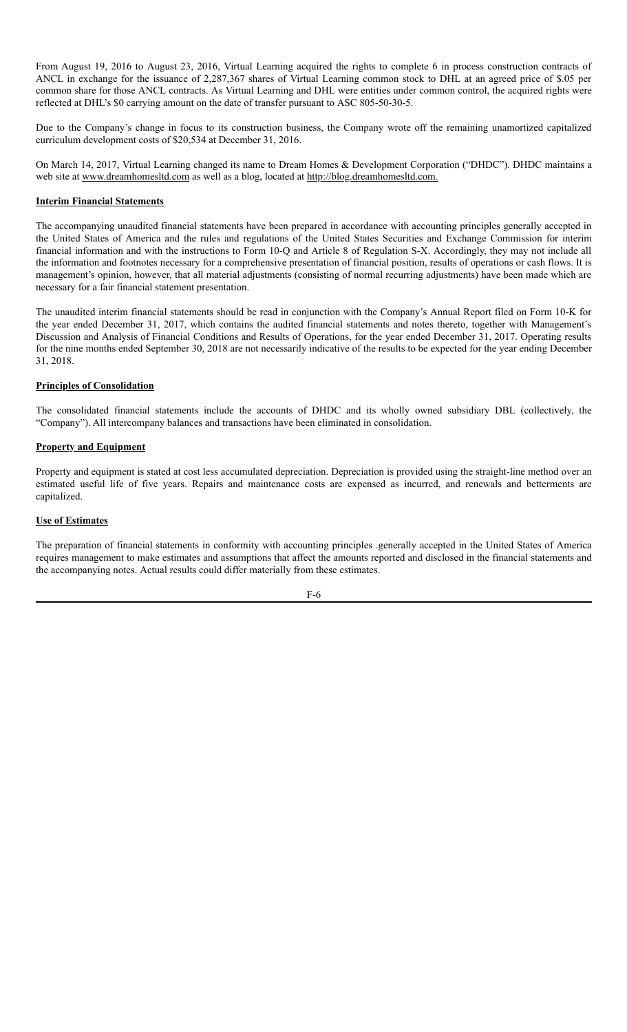From August 19, 2016 to August 23, 2016, Virtual Learning acquired the rights to complete 6 in process construction contracts of ANCL in exchange for the issuance of 2,287,367 shares of Virtual Learning common stock to DHL at an agreed price of \$.05 per common share for those ANCL contracts. As Virtual Learning and DHL were entities under common control, the acquired rights were reflected at DHL's \$0 carrying amount on the date of transfer pursuant to ASC 805-50-30-5.

Due to the Company's change in focus to its construction business, the Company wrote off the remaining unamortized capitalized curriculum development costs of \$20,534 at December 31, 2016.

On March 14, 2017, Virtual Learning changed its name to Dream Homes & Development Corporation ("DHDC"). DHDC maintains a web site at www.dreamhomesltd.com as well as a blog, located at http://blog.dreamhomesltd.com.

## **Interim Financial Statements**

The accompanying unaudited financial statements have been prepared in accordance with accounting principles generally accepted in the United States of America and the rules and regulations of the United States Securities and Exchange Commission for interim financial information and with the instructions to Form 10-Q and Article 8 of Regulation S-X. Accordingly, they may not include all the information and footnotes necessary for a comprehensive presentation of financial position, results of operations or cash flows. It is management's opinion, however, that all material adjustments (consisting of normal recurring adjustments) have been made which are necessary for a fair financial statement presentation.

The unaudited interim financial statements should be read in conjunction with the Company's Annual Report filed on Form 10-K for the year ended December 31, 2017, which contains the audited financial statements and notes thereto, together with Management's Discussion and Analysis of Financial Conditions and Results of Operations, for the year ended December 31, 2017. Operating results for the nine months ended September 30, 2018 are not necessarily indicative of the results to be expected for the year ending December 31, 2018.

## **Principles of Consolidation**

The consolidated financial statements include the accounts of DHDC and its wholly owned subsidiary DBL (collectively, the "Company"). All intercompany balances and transactions have been eliminated in consolidation.

## **Property and Equipment**

Property and equipment is stated at cost less accumulated depreciation. Depreciation is provided using the straight-line method over an estimated useful life of five years. Repairs and maintenance costs are expensed as incurred, and renewals and betterments are capitalized.

## **Use of Estimates**

The preparation of financial statements in conformity with accounting principles .generally accepted in the United States of America requires management to make estimates and assumptions that affect the amounts reported and disclosed in the financial statements and the accompanying notes. Actual results could differ materially from these estimates.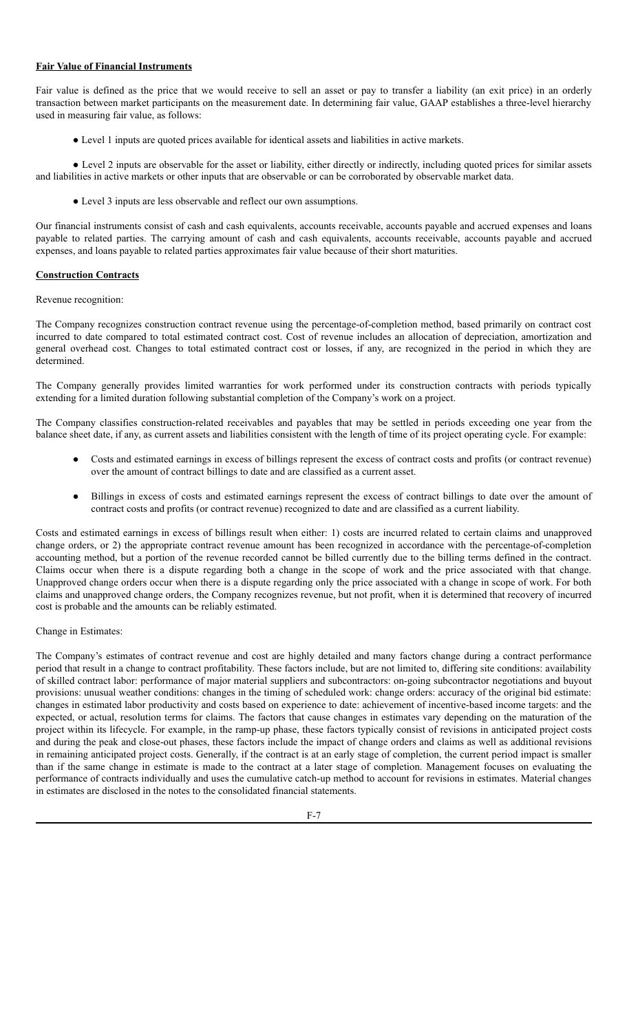## **Fair Value of Financial Instruments**

Fair value is defined as the price that we would receive to sell an asset or pay to transfer a liability (an exit price) in an orderly transaction between market participants on the measurement date. In determining fair value, GAAP establishes a three-level hierarchy used in measuring fair value, as follows:

● Level 1 inputs are quoted prices available for identical assets and liabilities in active markets.

● Level 2 inputs are observable for the asset or liability, either directly or indirectly, including quoted prices for similar assets and liabilities in active markets or other inputs that are observable or can be corroborated by observable market data.

● Level 3 inputs are less observable and reflect our own assumptions.

Our financial instruments consist of cash and cash equivalents, accounts receivable, accounts payable and accrued expenses and loans payable to related parties. The carrying amount of cash and cash equivalents, accounts receivable, accounts payable and accrued expenses, and loans payable to related parties approximates fair value because of their short maturities.

## **Construction Contracts**

Revenue recognition:

The Company recognizes construction contract revenue using the percentage-of-completion method, based primarily on contract cost incurred to date compared to total estimated contract cost. Cost of revenue includes an allocation of depreciation, amortization and general overhead cost. Changes to total estimated contract cost or losses, if any, are recognized in the period in which they are determined.

The Company generally provides limited warranties for work performed under its construction contracts with periods typically extending for a limited duration following substantial completion of the Company's work on a project.

The Company classifies construction-related receivables and payables that may be settled in periods exceeding one year from the balance sheet date, if any, as current assets and liabilities consistent with the length of time of its project operating cycle. For example:

- Costs and estimated earnings in excess of billings represent the excess of contract costs and profits (or contract revenue) over the amount of contract billings to date and are classified as a current asset.
- Billings in excess of costs and estimated earnings represent the excess of contract billings to date over the amount of contract costs and profits (or contract revenue) recognized to date and are classified as a current liability.

Costs and estimated earnings in excess of billings result when either: 1) costs are incurred related to certain claims and unapproved change orders, or 2) the appropriate contract revenue amount has been recognized in accordance with the percentage-of-completion accounting method, but a portion of the revenue recorded cannot be billed currently due to the billing terms defined in the contract. Claims occur when there is a dispute regarding both a change in the scope of work and the price associated with that change. Unapproved change orders occur when there is a dispute regarding only the price associated with a change in scope of work. For both claims and unapproved change orders, the Company recognizes revenue, but not profit, when it is determined that recovery of incurred cost is probable and the amounts can be reliably estimated.

## Change in Estimates:

The Company's estimates of contract revenue and cost are highly detailed and many factors change during a contract performance period that result in a change to contract profitability. These factors include, but are not limited to, differing site conditions: availability of skilled contract labor: performance of major material suppliers and subcontractors: on-going subcontractor negotiations and buyout provisions: unusual weather conditions: changes in the timing of scheduled work: change orders: accuracy of the original bid estimate: changes in estimated labor productivity and costs based on experience to date: achievement of incentive-based income targets: and the expected, or actual, resolution terms for claims. The factors that cause changes in estimates vary depending on the maturation of the project within its lifecycle. For example, in the ramp-up phase, these factors typically consist of revisions in anticipated project costs and during the peak and close-out phases, these factors include the impact of change orders and claims as well as additional revisions in remaining anticipated project costs. Generally, if the contract is at an early stage of completion, the current period impact is smaller than if the same change in estimate is made to the contract at a later stage of completion. Management focuses on evaluating the performance of contracts individually and uses the cumulative catch-up method to account for revisions in estimates. Material changes in estimates are disclosed in the notes to the consolidated financial statements.

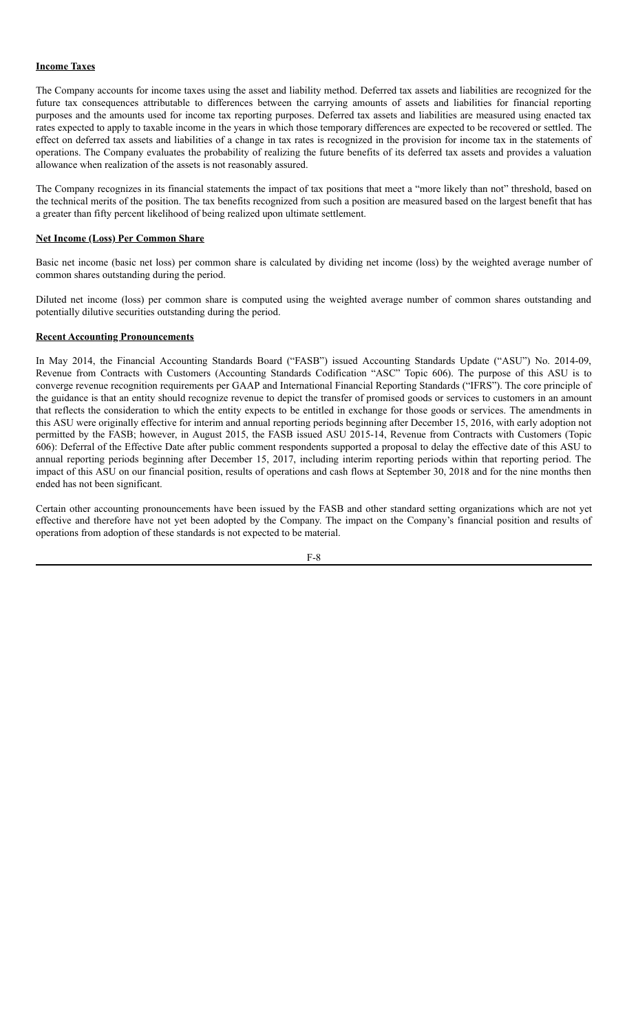#### **Income Taxes**

The Company accounts for income taxes using the asset and liability method. Deferred tax assets and liabilities are recognized for the future tax consequences attributable to differences between the carrying amounts of assets and liabilities for financial reporting purposes and the amounts used for income tax reporting purposes. Deferred tax assets and liabilities are measured using enacted tax rates expected to apply to taxable income in the years in which those temporary differences are expected to be recovered or settled. The effect on deferred tax assets and liabilities of a change in tax rates is recognized in the provision for income tax in the statements of operations. The Company evaluates the probability of realizing the future benefits of its deferred tax assets and provides a valuation allowance when realization of the assets is not reasonably assured.

The Company recognizes in its financial statements the impact of tax positions that meet a "more likely than not" threshold, based on the technical merits of the position. The tax benefits recognized from such a position are measured based on the largest benefit that has a greater than fifty percent likelihood of being realized upon ultimate settlement.

#### **Net Income (Loss) Per Common Share**

Basic net income (basic net loss) per common share is calculated by dividing net income (loss) by the weighted average number of common shares outstanding during the period.

Diluted net income (loss) per common share is computed using the weighted average number of common shares outstanding and potentially dilutive securities outstanding during the period.

#### **Recent Accounting Pronouncements**

In May 2014, the Financial Accounting Standards Board ("FASB") issued Accounting Standards Update ("ASU") No. 2014-09, Revenue from Contracts with Customers (Accounting Standards Codification "ASC" Topic 606). The purpose of this ASU is to converge revenue recognition requirements per GAAP and International Financial Reporting Standards ("IFRS"). The core principle of the guidance is that an entity should recognize revenue to depict the transfer of promised goods or services to customers in an amount that reflects the consideration to which the entity expects to be entitled in exchange for those goods or services. The amendments in this ASU were originally effective for interim and annual reporting periods beginning after December 15, 2016, with early adoption not permitted by the FASB; however, in August 2015, the FASB issued ASU 2015-14, Revenue from Contracts with Customers (Topic 606): Deferral of the Effective Date after public comment respondents supported a proposal to delay the effective date of this ASU to annual reporting periods beginning after December 15, 2017, including interim reporting periods within that reporting period. The impact of this ASU on our financial position, results of operations and cash flows at September 30, 2018 and for the nine months then ended has not been significant.

Certain other accounting pronouncements have been issued by the FASB and other standard setting organizations which are not yet effective and therefore have not yet been adopted by the Company. The impact on the Company's financial position and results of operations from adoption of these standards is not expected to be material.

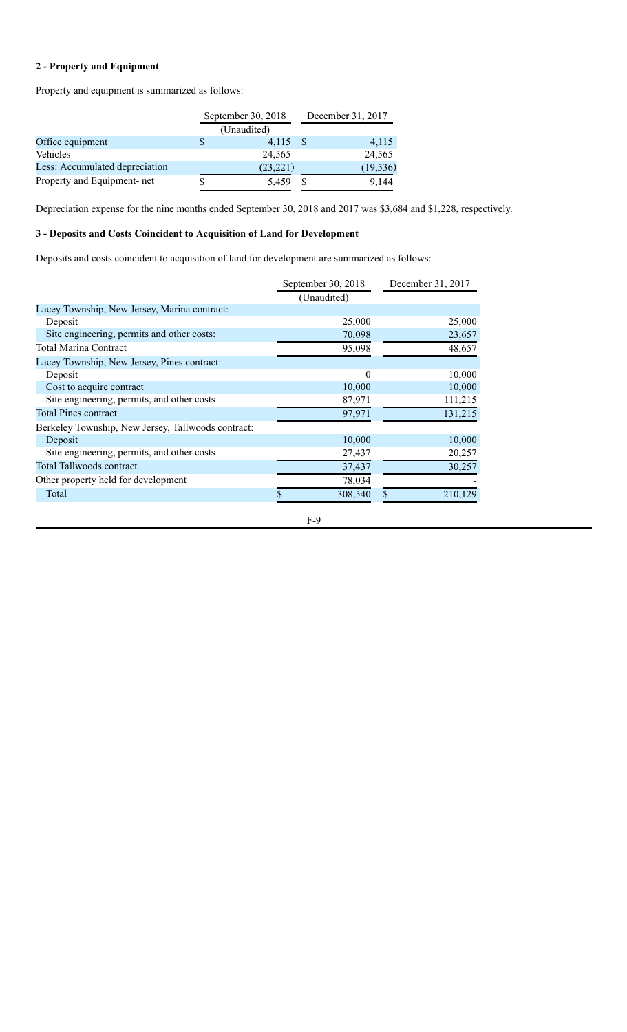## **2 - Property and Equipment**

Property and equipment is summarized as follows:

|                                |             | September 30, 2018 | December 31, 2017 |           |  |
|--------------------------------|-------------|--------------------|-------------------|-----------|--|
|                                | (Unaudited) |                    |                   |           |  |
| Office equipment               | S           | 4,115              |                   | 4,115     |  |
| <b>Vehicles</b>                |             | 24,565             |                   | 24,565    |  |
| Less: Accumulated depreciation |             | (23, 221)          |                   | (19, 536) |  |
| Property and Equipment- net    |             | 5.459              |                   | 9,144     |  |

Depreciation expense for the nine months ended September 30, 2018 and 2017 was \$3,684 and \$1,228, respectively.

## **3 - Deposits and Costs Coincident to Acquisition of Land for Development**

Deposits and costs coincident to acquisition of land for development are summarized as follows:

|                                                    | September 30, 2018 | December 31, 2017 |
|----------------------------------------------------|--------------------|-------------------|
|                                                    | (Unaudited)        |                   |
| Lacey Township, New Jersey, Marina contract:       |                    |                   |
| Deposit                                            | 25,000             | 25,000            |
| Site engineering, permits and other costs:         | 70,098             | 23,657            |
| <b>Total Marina Contract</b>                       | 95,098             | 48,657            |
| Lacey Township, New Jersey, Pines contract:        |                    |                   |
| Deposit                                            | $\theta$           | 10,000            |
| Cost to acquire contract                           | 10,000             | 10,000            |
| Site engineering, permits, and other costs         | 87,971             | 111,215           |
| <b>Total Pines contract</b>                        | 97,971             | 131,215           |
| Berkeley Township, New Jersey, Tallwoods contract: |                    |                   |
| Deposit                                            | 10,000             | 10,000            |
| Site engineering, permits, and other costs         | 27,437             | 20,257            |
| Total Tallwoods contract                           | 37,437             | 30,257            |
| Other property held for development                | 78,034             |                   |
| Total                                              | 308,540            | \$<br>210,129     |
|                                                    |                    |                   |

$$
F-9
$$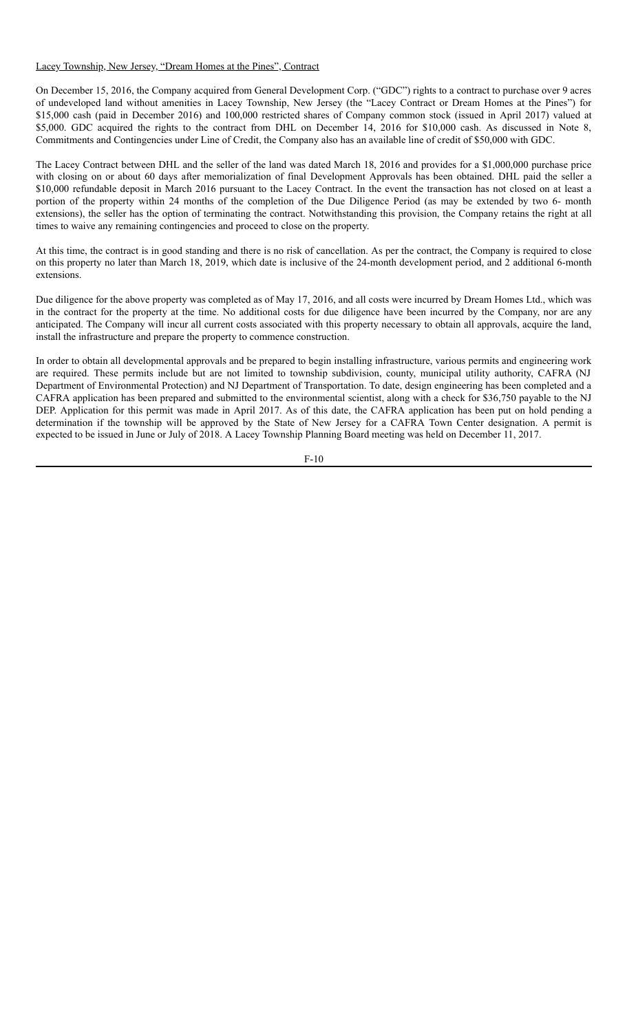Lacey Township, New Jersey, "Dream Homes at the Pines", Contract

On December 15, 2016, the Company acquired from General Development Corp. ("GDC") rights to a contract to purchase over 9 acres of undeveloped land without amenities in Lacey Township, New Jersey (the "Lacey Contract or Dream Homes at the Pines") for \$15,000 cash (paid in December 2016) and 100,000 restricted shares of Company common stock (issued in April 2017) valued at \$5,000. GDC acquired the rights to the contract from DHL on December 14, 2016 for \$10,000 cash. As discussed in Note 8, Commitments and Contingencies under Line of Credit, the Company also has an available line of credit of \$50,000 with GDC.

The Lacey Contract between DHL and the seller of the land was dated March 18, 2016 and provides for a \$1,000,000 purchase price with closing on or about 60 days after memorialization of final Development Approvals has been obtained. DHL paid the seller a \$10,000 refundable deposit in March 2016 pursuant to the Lacey Contract. In the event the transaction has not closed on at least a portion of the property within 24 months of the completion of the Due Diligence Period (as may be extended by two 6- month extensions), the seller has the option of terminating the contract. Notwithstanding this provision, the Company retains the right at all times to waive any remaining contingencies and proceed to close on the property.

At this time, the contract is in good standing and there is no risk of cancellation. As per the contract, the Company is required to close on this property no later than March 18, 2019, which date is inclusive of the 24-month development period, and 2 additional 6-month extensions.

Due diligence for the above property was completed as of May 17, 2016, and all costs were incurred by Dream Homes Ltd., which was in the contract for the property at the time. No additional costs for due diligence have been incurred by the Company, nor are any anticipated. The Company will incur all current costs associated with this property necessary to obtain all approvals, acquire the land, install the infrastructure and prepare the property to commence construction.

In order to obtain all developmental approvals and be prepared to begin installing infrastructure, various permits and engineering work are required. These permits include but are not limited to township subdivision, county, municipal utility authority, CAFRA (NJ Department of Environmental Protection) and NJ Department of Transportation. To date, design engineering has been completed and a CAFRA application has been prepared and submitted to the environmental scientist, along with a check for \$36,750 payable to the NJ DEP. Application for this permit was made in April 2017. As of this date, the CAFRA application has been put on hold pending a determination if the township will be approved by the State of New Jersey for a CAFRA Town Center designation. A permit is expected to be issued in June or July of 2018. A Lacey Township Planning Board meeting was held on December 11, 2017.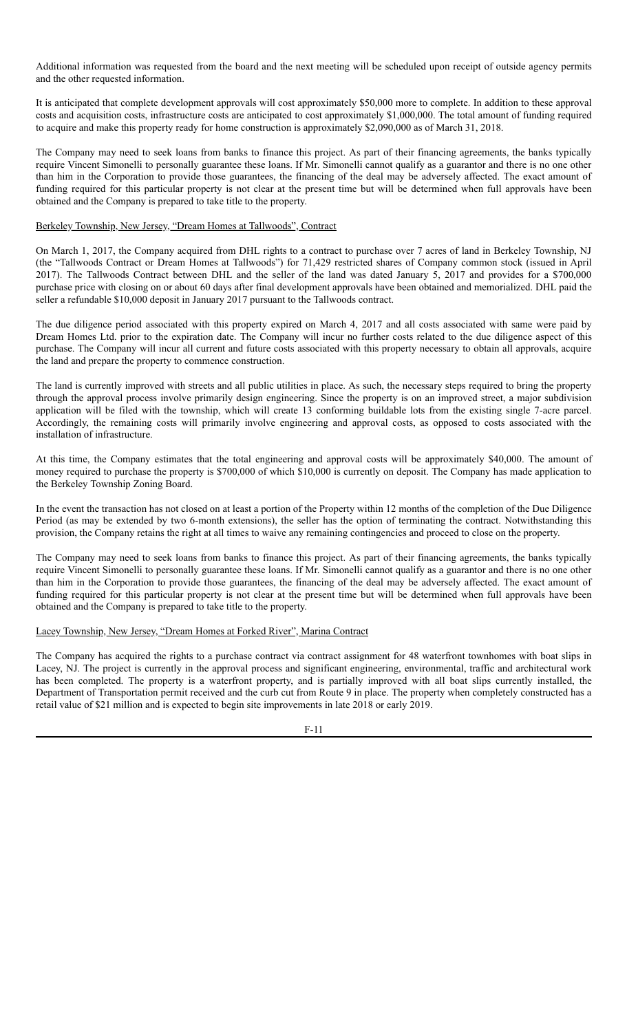Additional information was requested from the board and the next meeting will be scheduled upon receipt of outside agency permits and the other requested information.

It is anticipated that complete development approvals will cost approximately \$50,000 more to complete. In addition to these approval costs and acquisition costs, infrastructure costs are anticipated to cost approximately \$1,000,000. The total amount of funding required to acquire and make this property ready for home construction is approximately \$2,090,000 as of March 31, 2018.

The Company may need to seek loans from banks to finance this project. As part of their financing agreements, the banks typically require Vincent Simonelli to personally guarantee these loans. If Mr. Simonelli cannot qualify as a guarantor and there is no one other than him in the Corporation to provide those guarantees, the financing of the deal may be adversely affected. The exact amount of funding required for this particular property is not clear at the present time but will be determined when full approvals have been obtained and the Company is prepared to take title to the property.

## Berkeley Township, New Jersey, "Dream Homes at Tallwoods", Contract

On March 1, 2017, the Company acquired from DHL rights to a contract to purchase over 7 acres of land in Berkeley Township, NJ (the "Tallwoods Contract or Dream Homes at Tallwoods") for 71,429 restricted shares of Company common stock (issued in April 2017). The Tallwoods Contract between DHL and the seller of the land was dated January 5, 2017 and provides for a \$700,000 purchase price with closing on or about 60 days after final development approvals have been obtained and memorialized. DHL paid the seller a refundable \$10,000 deposit in January 2017 pursuant to the Tallwoods contract.

The due diligence period associated with this property expired on March 4, 2017 and all costs associated with same were paid by Dream Homes Ltd. prior to the expiration date. The Company will incur no further costs related to the due diligence aspect of this purchase. The Company will incur all current and future costs associated with this property necessary to obtain all approvals, acquire the land and prepare the property to commence construction.

The land is currently improved with streets and all public utilities in place. As such, the necessary steps required to bring the property through the approval process involve primarily design engineering. Since the property is on an improved street, a major subdivision application will be filed with the township, which will create 13 conforming buildable lots from the existing single 7-acre parcel. Accordingly, the remaining costs will primarily involve engineering and approval costs, as opposed to costs associated with the installation of infrastructure.

At this time, the Company estimates that the total engineering and approval costs will be approximately \$40,000. The amount of money required to purchase the property is \$700,000 of which \$10,000 is currently on deposit. The Company has made application to the Berkeley Township Zoning Board.

In the event the transaction has not closed on at least a portion of the Property within 12 months of the completion of the Due Diligence Period (as may be extended by two 6-month extensions), the seller has the option of terminating the contract. Notwithstanding this provision, the Company retains the right at all times to waive any remaining contingencies and proceed to close on the property.

The Company may need to seek loans from banks to finance this project. As part of their financing agreements, the banks typically require Vincent Simonelli to personally guarantee these loans. If Mr. Simonelli cannot qualify as a guarantor and there is no one other than him in the Corporation to provide those guarantees, the financing of the deal may be adversely affected. The exact amount of funding required for this particular property is not clear at the present time but will be determined when full approvals have been obtained and the Company is prepared to take title to the property.

## Lacey Township, New Jersey, "Dream Homes at Forked River", Marina Contract

The Company has acquired the rights to a purchase contract via contract assignment for 48 waterfront townhomes with boat slips in Lacey, NJ. The project is currently in the approval process and significant engineering, environmental, traffic and architectural work has been completed. The property is a waterfront property, and is partially improved with all boat slips currently installed, the Department of Transportation permit received and the curb cut from Route 9 in place. The property when completely constructed has a retail value of \$21 million and is expected to begin site improvements in late 2018 or early 2019.

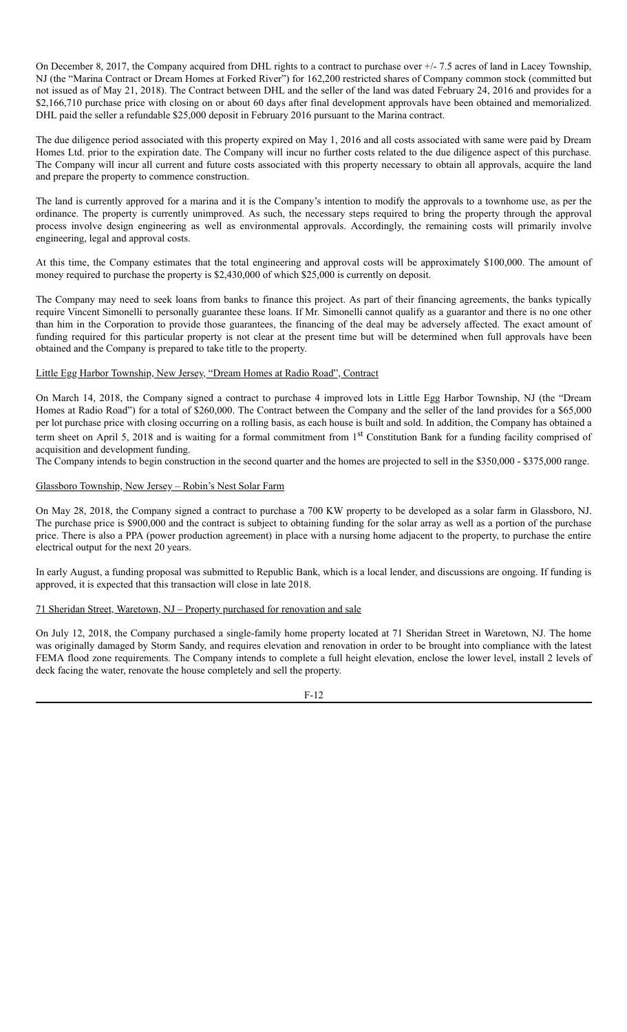On December 8, 2017, the Company acquired from DHL rights to a contract to purchase over +/- 7.5 acres of land in Lacey Township, NJ (the "Marina Contract or Dream Homes at Forked River") for 162,200 restricted shares of Company common stock (committed but not issued as of May 21, 2018). The Contract between DHL and the seller of the land was dated February 24, 2016 and provides for a \$2,166,710 purchase price with closing on or about 60 days after final development approvals have been obtained and memorialized. DHL paid the seller a refundable \$25,000 deposit in February 2016 pursuant to the Marina contract.

The due diligence period associated with this property expired on May 1, 2016 and all costs associated with same were paid by Dream Homes Ltd. prior to the expiration date. The Company will incur no further costs related to the due diligence aspect of this purchase. The Company will incur all current and future costs associated with this property necessary to obtain all approvals, acquire the land and prepare the property to commence construction.

The land is currently approved for a marina and it is the Company's intention to modify the approvals to a townhome use, as per the ordinance. The property is currently unimproved. As such, the necessary steps required to bring the property through the approval process involve design engineering as well as environmental approvals. Accordingly, the remaining costs will primarily involve engineering, legal and approval costs.

At this time, the Company estimates that the total engineering and approval costs will be approximately \$100,000. The amount of money required to purchase the property is \$2,430,000 of which \$25,000 is currently on deposit.

The Company may need to seek loans from banks to finance this project. As part of their financing agreements, the banks typically require Vincent Simonelli to personally guarantee these loans. If Mr. Simonelli cannot qualify as a guarantor and there is no one other than him in the Corporation to provide those guarantees, the financing of the deal may be adversely affected. The exact amount of funding required for this particular property is not clear at the present time but will be determined when full approvals have been obtained and the Company is prepared to take title to the property.

## Little Egg Harbor Township, New Jersey, "Dream Homes at Radio Road", Contract

On March 14, 2018, the Company signed a contract to purchase 4 improved lots in Little Egg Harbor Township, NJ (the "Dream Homes at Radio Road") for a total of \$260,000. The Contract between the Company and the seller of the land provides for a \$65,000 per lot purchase price with closing occurring on a rolling basis, as each house is built and sold. In addition, the Company has obtained a term sheet on April 5, 2018 and is waiting for a formal commitment from 1<sup>st</sup> Constitution Bank for a funding facility comprised of acquisition and development funding.

The Company intends to begin construction in the second quarter and the homes are projected to sell in the \$350,000 - \$375,000 range.

## Glassboro Township, New Jersey – Robin's Nest Solar Farm

On May 28, 2018, the Company signed a contract to purchase a 700 KW property to be developed as a solar farm in Glassboro, NJ. The purchase price is \$900,000 and the contract is subject to obtaining funding for the solar array as well as a portion of the purchase price. There is also a PPA (power production agreement) in place with a nursing home adjacent to the property, to purchase the entire electrical output for the next 20 years.

In early August, a funding proposal was submitted to Republic Bank, which is a local lender, and discussions are ongoing. If funding is approved, it is expected that this transaction will close in late 2018.

## 71 Sheridan Street, Waretown, NJ – Property purchased for renovation and sale

On July 12, 2018, the Company purchased a single-family home property located at 71 Sheridan Street in Waretown, NJ. The home was originally damaged by Storm Sandy, and requires elevation and renovation in order to be brought into compliance with the latest FEMA flood zone requirements. The Company intends to complete a full height elevation, enclose the lower level, install 2 levels of deck facing the water, renovate the house completely and sell the property.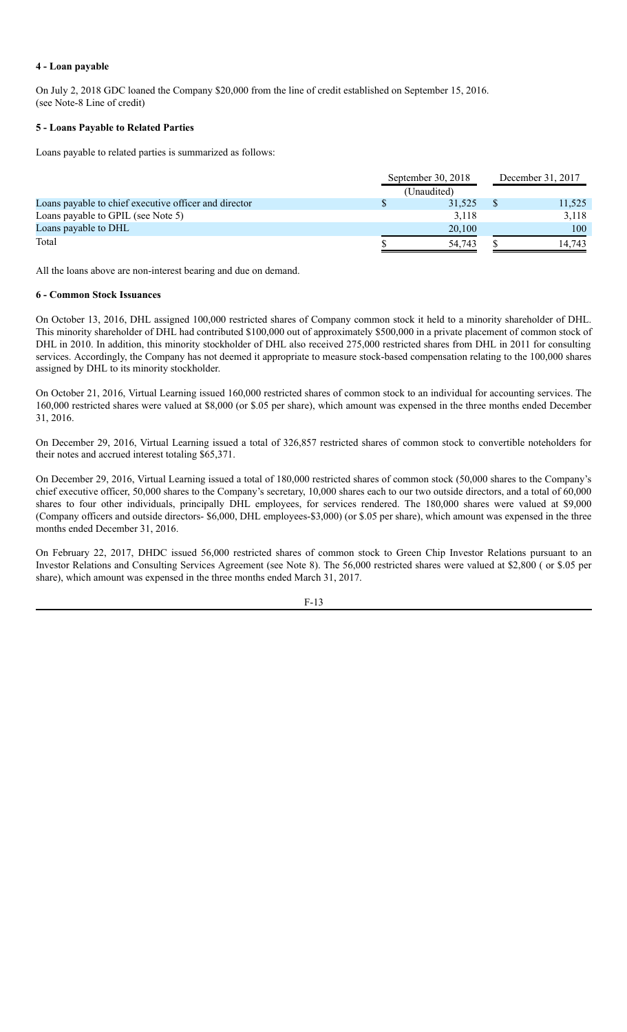## **4 - Loan payable**

On July 2, 2018 GDC loaned the Company \$20,000 from the line of credit established on September 15, 2016. (see Note-8 Line of credit)

## **5 - Loans Payable to Related Parties**

Loans payable to related parties is summarized as follows:

|                                                       | September 30, 2018 |             |  | December 31, 2017 |
|-------------------------------------------------------|--------------------|-------------|--|-------------------|
|                                                       |                    | (Unaudited) |  |                   |
| Loans payable to chief executive officer and director |                    | 31.525      |  | 11,525            |
| Loans payable to GPIL (see Note 5)                    |                    | 3,118       |  | 3,118             |
| Loans payable to DHL                                  |                    | 20,100      |  | 100               |
| Total                                                 |                    | 54.743      |  | 14.743            |

All the loans above are non-interest bearing and due on demand.

## **6 - Common Stock Issuances**

On October 13, 2016, DHL assigned 100,000 restricted shares of Company common stock it held to a minority shareholder of DHL. This minority shareholder of DHL had contributed \$100,000 out of approximately \$500,000 in a private placement of common stock of DHL in 2010. In addition, this minority stockholder of DHL also received 275,000 restricted shares from DHL in 2011 for consulting services. Accordingly, the Company has not deemed it appropriate to measure stock-based compensation relating to the 100,000 shares assigned by DHL to its minority stockholder.

On October 21, 2016, Virtual Learning issued 160,000 restricted shares of common stock to an individual for accounting services. The 160,000 restricted shares were valued at \$8,000 (or \$.05 per share), which amount was expensed in the three months ended December 31, 2016.

On December 29, 2016, Virtual Learning issued a total of 326,857 restricted shares of common stock to convertible noteholders for their notes and accrued interest totaling \$65,371.

On December 29, 2016, Virtual Learning issued a total of 180,000 restricted shares of common stock (50,000 shares to the Company's chief executive officer, 50,000 shares to the Company's secretary, 10,000 shares each to our two outside directors, and a total of 60,000 shares to four other individuals, principally DHL employees, for services rendered. The 180,000 shares were valued at \$9,000 (Company officers and outside directors- \$6,000, DHL employees-\$3,000) (or \$.05 per share), which amount was expensed in the three months ended December 31, 2016.

On February 22, 2017, DHDC issued 56,000 restricted shares of common stock to Green Chip Investor Relations pursuant to an Investor Relations and Consulting Services Agreement (see Note 8). The 56,000 restricted shares were valued at \$2,800 ( or \$.05 per share), which amount was expensed in the three months ended March 31, 2017.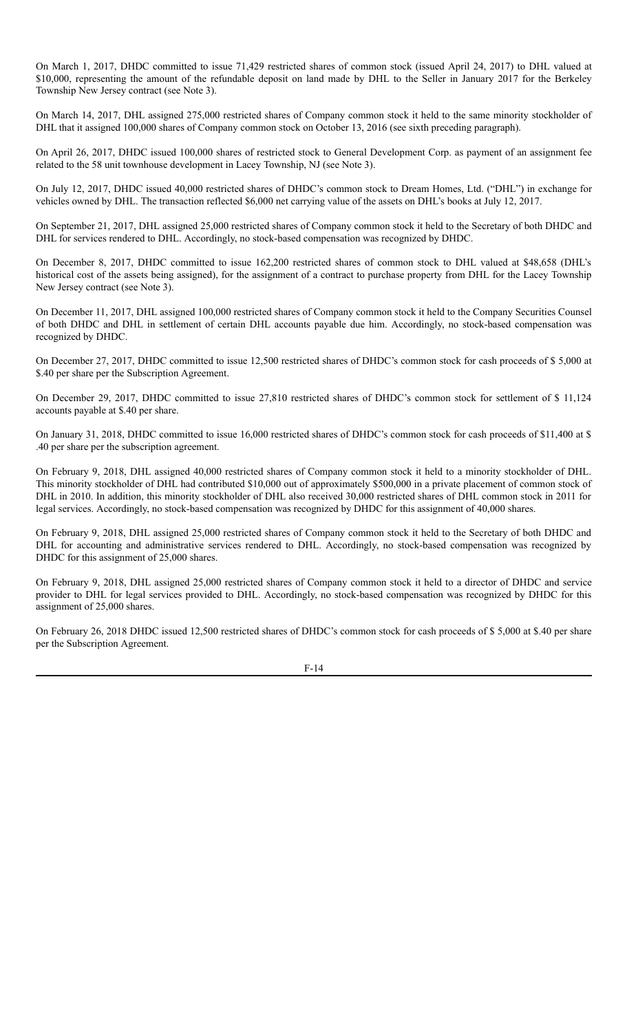On March 1, 2017, DHDC committed to issue 71,429 restricted shares of common stock (issued April 24, 2017) to DHL valued at \$10,000, representing the amount of the refundable deposit on land made by DHL to the Seller in January 2017 for the Berkeley Township New Jersey contract (see Note 3).

On March 14, 2017, DHL assigned 275,000 restricted shares of Company common stock it held to the same minority stockholder of DHL that it assigned 100,000 shares of Company common stock on October 13, 2016 (see sixth preceding paragraph).

On April 26, 2017, DHDC issued 100,000 shares of restricted stock to General Development Corp. as payment of an assignment fee related to the 58 unit townhouse development in Lacey Township, NJ (see Note 3).

On July 12, 2017, DHDC issued 40,000 restricted shares of DHDC's common stock to Dream Homes, Ltd. ("DHL") in exchange for vehicles owned by DHL. The transaction reflected \$6,000 net carrying value of the assets on DHL's books at July 12, 2017.

On September 21, 2017, DHL assigned 25,000 restricted shares of Company common stock it held to the Secretary of both DHDC and DHL for services rendered to DHL. Accordingly, no stock-based compensation was recognized by DHDC.

On December 8, 2017, DHDC committed to issue 162,200 restricted shares of common stock to DHL valued at \$48,658 (DHL's historical cost of the assets being assigned), for the assignment of a contract to purchase property from DHL for the Lacey Township New Jersey contract (see Note 3).

On December 11, 2017, DHL assigned 100,000 restricted shares of Company common stock it held to the Company Securities Counsel of both DHDC and DHL in settlement of certain DHL accounts payable due him. Accordingly, no stock-based compensation was recognized by DHDC.

On December 27, 2017, DHDC committed to issue 12,500 restricted shares of DHDC's common stock for cash proceeds of \$ 5,000 at \$.40 per share per the Subscription Agreement.

On December 29, 2017, DHDC committed to issue 27,810 restricted shares of DHDC's common stock for settlement of \$ 11,124 accounts payable at \$.40 per share.

On January 31, 2018, DHDC committed to issue 16,000 restricted shares of DHDC's common stock for cash proceeds of \$11,400 at \$ .40 per share per the subscription agreement.

On February 9, 2018, DHL assigned 40,000 restricted shares of Company common stock it held to a minority stockholder of DHL. This minority stockholder of DHL had contributed \$10,000 out of approximately \$500,000 in a private placement of common stock of DHL in 2010. In addition, this minority stockholder of DHL also received 30,000 restricted shares of DHL common stock in 2011 for legal services. Accordingly, no stock-based compensation was recognized by DHDC for this assignment of 40,000 shares.

On February 9, 2018, DHL assigned 25,000 restricted shares of Company common stock it held to the Secretary of both DHDC and DHL for accounting and administrative services rendered to DHL. Accordingly, no stock-based compensation was recognized by DHDC for this assignment of 25,000 shares.

On February 9, 2018, DHL assigned 25,000 restricted shares of Company common stock it held to a director of DHDC and service provider to DHL for legal services provided to DHL. Accordingly, no stock-based compensation was recognized by DHDC for this assignment of 25,000 shares.

On February 26, 2018 DHDC issued 12,500 restricted shares of DHDC's common stock for cash proceeds of \$ 5,000 at \$.40 per share per the Subscription Agreement.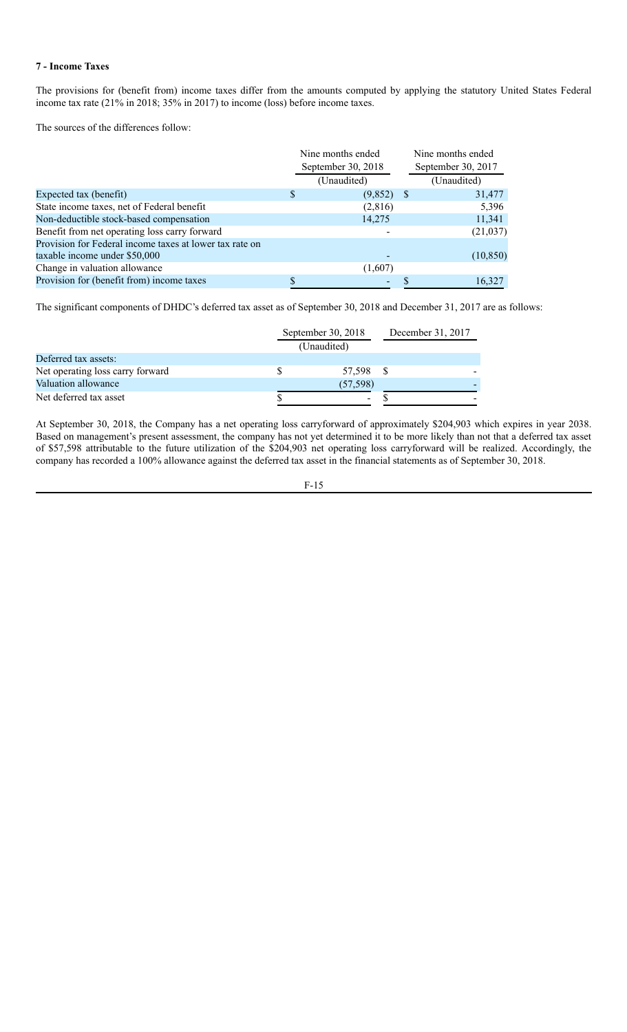## **7 - Income Taxes**

The provisions for (benefit from) income taxes differ from the amounts computed by applying the statutory United States Federal income tax rate (21% in 2018; 35% in 2017) to income (loss) before income taxes.

The sources of the differences follow:

|                                                         | Nine months ended<br>September 30, 2018 |              |  | Nine months ended  |
|---------------------------------------------------------|-----------------------------------------|--------------|--|--------------------|
|                                                         |                                         |              |  | September 30, 2017 |
|                                                         |                                         | (Unaudited)  |  | (Unaudited)        |
| Expected tax (benefit)                                  | \$                                      | $(9,852)$ \$ |  | 31,477             |
| State income taxes, net of Federal benefit              |                                         | (2,816)      |  | 5,396              |
| Non-deductible stock-based compensation                 |                                         | 14,275       |  | 11,341             |
| Benefit from net operating loss carry forward           |                                         |              |  | (21,037)           |
| Provision for Federal income taxes at lower tax rate on |                                         |              |  |                    |
| taxable income under \$50,000                           |                                         |              |  | (10, 850)          |
| Change in valuation allowance                           |                                         | (1,607)      |  |                    |
| Provision for (benefit from) income taxes               |                                         |              |  | 16,327             |

The significant components of DHDC's deferred tax asset as of September 30, 2018 and December 31, 2017 are as follows:

|                                  | September 30, 2018 |           | December 31, 2017 |  |
|----------------------------------|--------------------|-----------|-------------------|--|
|                                  | (Unaudited)        |           |                   |  |
| Deferred tax assets:             |                    |           |                   |  |
| Net operating loss carry forward |                    | 57,598 \$ |                   |  |
| Valuation allowance              |                    | (57, 598) |                   |  |
| Net deferred tax asset           |                    |           |                   |  |

At September 30, 2018, the Company has a net operating loss carryforward of approximately \$204,903 which expires in year 2038. Based on management's present assessment, the company has not yet determined it to be more likely than not that a deferred tax asset of \$57,598 attributable to the future utilization of the \$204,903 net operating loss carryforward will be realized. Accordingly, the company has recorded a 100% allowance against the deferred tax asset in the financial statements as of September 30, 2018.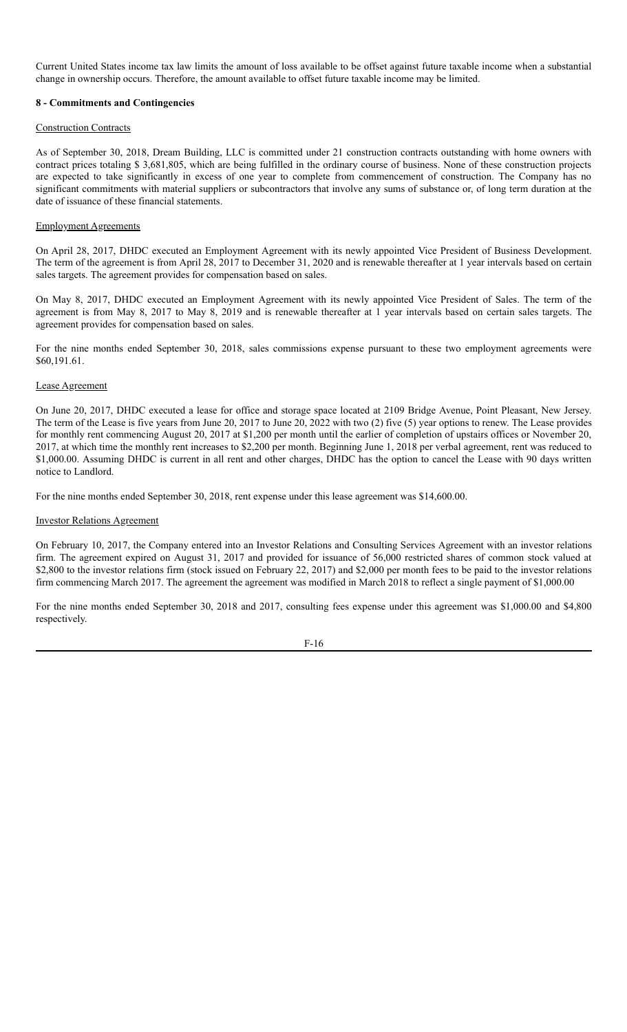Current United States income tax law limits the amount of loss available to be offset against future taxable income when a substantial change in ownership occurs. Therefore, the amount available to offset future taxable income may be limited.

## **8 - Commitments and Contingencies**

#### Construction Contracts

As of September 30, 2018, Dream Building, LLC is committed under 21 construction contracts outstanding with home owners with contract prices totaling \$ 3,681,805, which are being fulfilled in the ordinary course of business. None of these construction projects are expected to take significantly in excess of one year to complete from commencement of construction. The Company has no significant commitments with material suppliers or subcontractors that involve any sums of substance or, of long term duration at the date of issuance of these financial statements.

#### Employment Agreements

On April 28, 2017, DHDC executed an Employment Agreement with its newly appointed Vice President of Business Development. The term of the agreement is from April 28, 2017 to December 31, 2020 and is renewable thereafter at 1 year intervals based on certain sales targets. The agreement provides for compensation based on sales.

On May 8, 2017, DHDC executed an Employment Agreement with its newly appointed Vice President of Sales. The term of the agreement is from May 8, 2017 to May 8, 2019 and is renewable thereafter at 1 year intervals based on certain sales targets. The agreement provides for compensation based on sales.

For the nine months ended September 30, 2018, sales commissions expense pursuant to these two employment agreements were \$60,191.61.

#### Lease Agreement

On June 20, 2017, DHDC executed a lease for office and storage space located at 2109 Bridge Avenue, Point Pleasant, New Jersey. The term of the Lease is five years from June 20, 2017 to June 20, 2022 with two (2) five (5) year options to renew. The Lease provides for monthly rent commencing August 20, 2017 at \$1,200 per month until the earlier of completion of upstairs offices or November 20, 2017, at which time the monthly rent increases to \$2,200 per month. Beginning June 1, 2018 per verbal agreement, rent was reduced to \$1,000.00. Assuming DHDC is current in all rent and other charges, DHDC has the option to cancel the Lease with 90 days written notice to Landlord.

For the nine months ended September 30, 2018, rent expense under this lease agreement was \$14,600.00.

#### Investor Relations Agreement

On February 10, 2017, the Company entered into an Investor Relations and Consulting Services Agreement with an investor relations firm. The agreement expired on August 31, 2017 and provided for issuance of 56,000 restricted shares of common stock valued at \$2,800 to the investor relations firm (stock issued on February 22, 2017) and \$2,000 per month fees to be paid to the investor relations firm commencing March 2017. The agreement the agreement was modified in March 2018 to reflect a single payment of \$1,000.00

For the nine months ended September 30, 2018 and 2017, consulting fees expense under this agreement was \$1,000.00 and \$4,800 respectively.

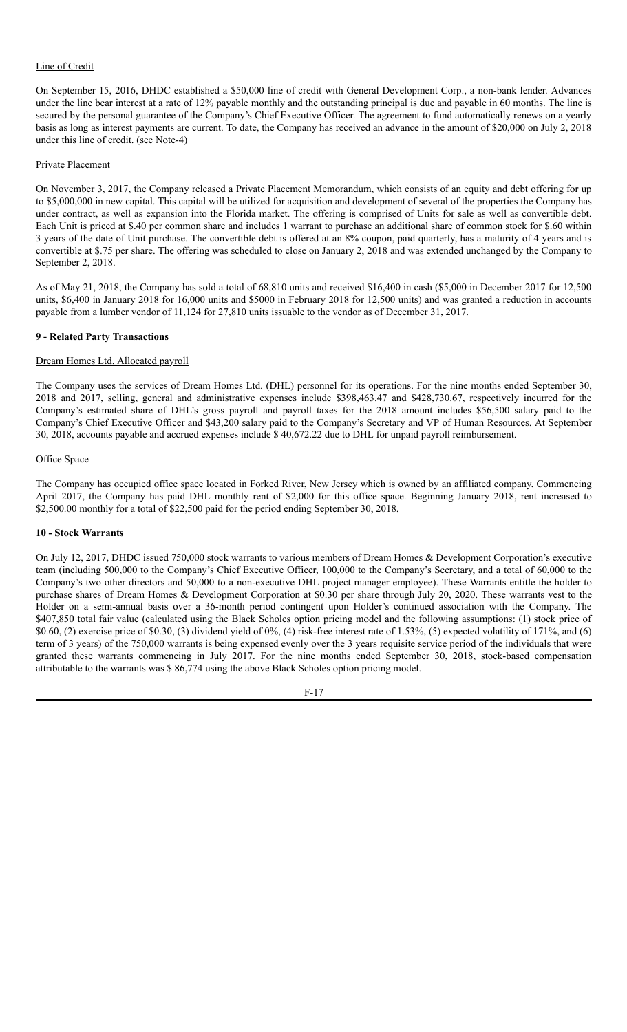## Line of Credit

On September 15, 2016, DHDC established a \$50,000 line of credit with General Development Corp., a non-bank lender. Advances under the line bear interest at a rate of 12% payable monthly and the outstanding principal is due and payable in 60 months. The line is secured by the personal guarantee of the Company's Chief Executive Officer. The agreement to fund automatically renews on a yearly basis as long as interest payments are current. To date, the Company has received an advance in the amount of \$20,000 on July 2, 2018 under this line of credit. (see Note-4)

## Private Placement

On November 3, 2017, the Company released a Private Placement Memorandum, which consists of an equity and debt offering for up to \$5,000,000 in new capital. This capital will be utilized for acquisition and development of several of the properties the Company has under contract, as well as expansion into the Florida market. The offering is comprised of Units for sale as well as convertible debt. Each Unit is priced at \$.40 per common share and includes 1 warrant to purchase an additional share of common stock for \$.60 within 3 years of the date of Unit purchase. The convertible debt is offered at an 8% coupon, paid quarterly, has a maturity of 4 years and is convertible at \$.75 per share. The offering was scheduled to close on January 2, 2018 and was extended unchanged by the Company to September 2, 2018.

As of May 21, 2018, the Company has sold a total of 68,810 units and received \$16,400 in cash (\$5,000 in December 2017 for 12,500 units, \$6,400 in January 2018 for 16,000 units and \$5000 in February 2018 for 12,500 units) and was granted a reduction in accounts payable from a lumber vendor of 11,124 for 27,810 units issuable to the vendor as of December 31, 2017.

## **9 - Related Party Transactions**

## Dream Homes Ltd. Allocated payroll

The Company uses the services of Dream Homes Ltd. (DHL) personnel for its operations. For the nine months ended September 30, 2018 and 2017, selling, general and administrative expenses include \$398,463.47 and \$428,730.67, respectively incurred for the Company's estimated share of DHL's gross payroll and payroll taxes for the 2018 amount includes \$56,500 salary paid to the Company's Chief Executive Officer and \$43,200 salary paid to the Company's Secretary and VP of Human Resources. At September 30, 2018, accounts payable and accrued expenses include \$ 40,672.22 due to DHL for unpaid payroll reimbursement.

## Office Space

The Company has occupied office space located in Forked River, New Jersey which is owned by an affiliated company. Commencing April 2017, the Company has paid DHL monthly rent of \$2,000 for this office space. Beginning January 2018, rent increased to \$2,500.00 monthly for a total of \$22,500 paid for the period ending September 30, 2018.

## **10 - Stock Warrants**

On July 12, 2017, DHDC issued 750,000 stock warrants to various members of Dream Homes & Development Corporation's executive team (including 500,000 to the Company's Chief Executive Officer, 100,000 to the Company's Secretary, and a total of 60,000 to the Company's two other directors and 50,000 to a non-executive DHL project manager employee). These Warrants entitle the holder to purchase shares of Dream Homes & Development Corporation at \$0.30 per share through July 20, 2020. These warrants vest to the Holder on a semi-annual basis over a 36-month period contingent upon Holder's continued association with the Company. The \$407,850 total fair value (calculated using the Black Scholes option pricing model and the following assumptions: (1) stock price of \$0.60, (2) exercise price of \$0.30, (3) dividend yield of 0%, (4) risk-free interest rate of 1.53%, (5) expected volatility of 171%, and (6) term of 3 years) of the 750,000 warrants is being expensed evenly over the 3 years requisite service period of the individuals that were granted these warrants commencing in July 2017. For the nine months ended September 30, 2018, stock-based compensation attributable to the warrants was \$ 86,774 using the above Black Scholes option pricing model.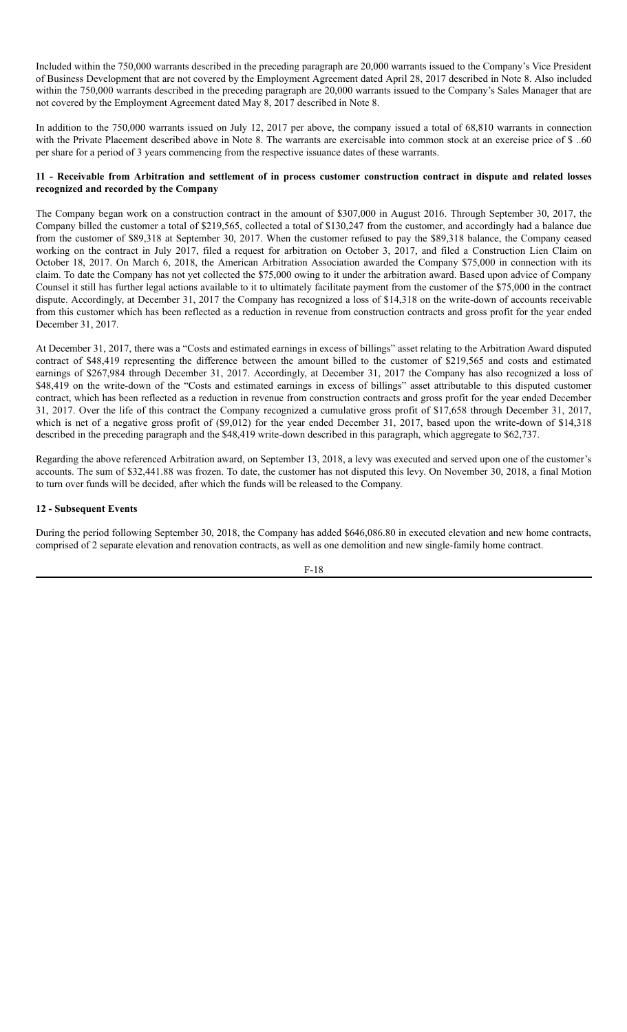Included within the 750,000 warrants described in the preceding paragraph are 20,000 warrants issued to the Company's Vice President of Business Development that are not covered by the Employment Agreement dated April 28, 2017 described in Note 8. Also included within the 750,000 warrants described in the preceding paragraph are 20,000 warrants issued to the Company's Sales Manager that are not covered by the Employment Agreement dated May 8, 2017 described in Note 8.

In addition to the 750,000 warrants issued on July 12, 2017 per above, the company issued a total of 68,810 warrants in connection with the Private Placement described above in Note 8. The warrants are exercisable into common stock at an exercise price of \$.60 per share for a period of 3 years commencing from the respective issuance dates of these warrants.

## 11 - Receivable from Arbitration and settlement of in process customer construction contract in dispute and related losses **recognized and recorded by the Company**

The Company began work on a construction contract in the amount of \$307,000 in August 2016. Through September 30, 2017, the Company billed the customer a total of \$219,565, collected a total of \$130,247 from the customer, and accordingly had a balance due from the customer of \$89,318 at September 30, 2017. When the customer refused to pay the \$89,318 balance, the Company ceased working on the contract in July 2017, filed a request for arbitration on October 3, 2017, and filed a Construction Lien Claim on October 18, 2017. On March 6, 2018, the American Arbitration Association awarded the Company \$75,000 in connection with its claim. To date the Company has not yet collected the \$75,000 owing to it under the arbitration award. Based upon advice of Company Counsel it still has further legal actions available to it to ultimately facilitate payment from the customer of the \$75,000 in the contract dispute. Accordingly, at December 31, 2017 the Company has recognized a loss of \$14,318 on the write-down of accounts receivable from this customer which has been reflected as a reduction in revenue from construction contracts and gross profit for the year ended December 31, 2017.

At December 31, 2017, there was a "Costs and estimated earnings in excess of billings" asset relating to the Arbitration Award disputed contract of \$48,419 representing the difference between the amount billed to the customer of \$219,565 and costs and estimated earnings of \$267,984 through December 31, 2017. Accordingly, at December 31, 2017 the Company has also recognized a loss of \$48,419 on the write-down of the "Costs and estimated earnings in excess of billings" asset attributable to this disputed customer contract, which has been reflected as a reduction in revenue from construction contracts and gross profit for the year ended December 31, 2017. Over the life of this contract the Company recognized a cumulative gross profit of \$17,658 through December 31, 2017, which is net of a negative gross profit of  $(\$9,012)$  for the year ended December 31, 2017, based upon the write-down of \$14,318 described in the preceding paragraph and the \$48,419 write-down described in this paragraph, which aggregate to \$62,737.

Regarding the above referenced Arbitration award, on September 13, 2018, a levy was executed and served upon one of the customer's accounts. The sum of \$32,441.88 was frozen. To date, the customer has not disputed this levy. On November 30, 2018, a final Motion to turn over funds will be decided, after which the funds will be released to the Company.

## **12 - Subsequent Events**

During the period following September 30, 2018, the Company has added \$646,086.80 in executed elevation and new home contracts, comprised of 2 separate elevation and renovation contracts, as well as one demolition and new single-family home contract.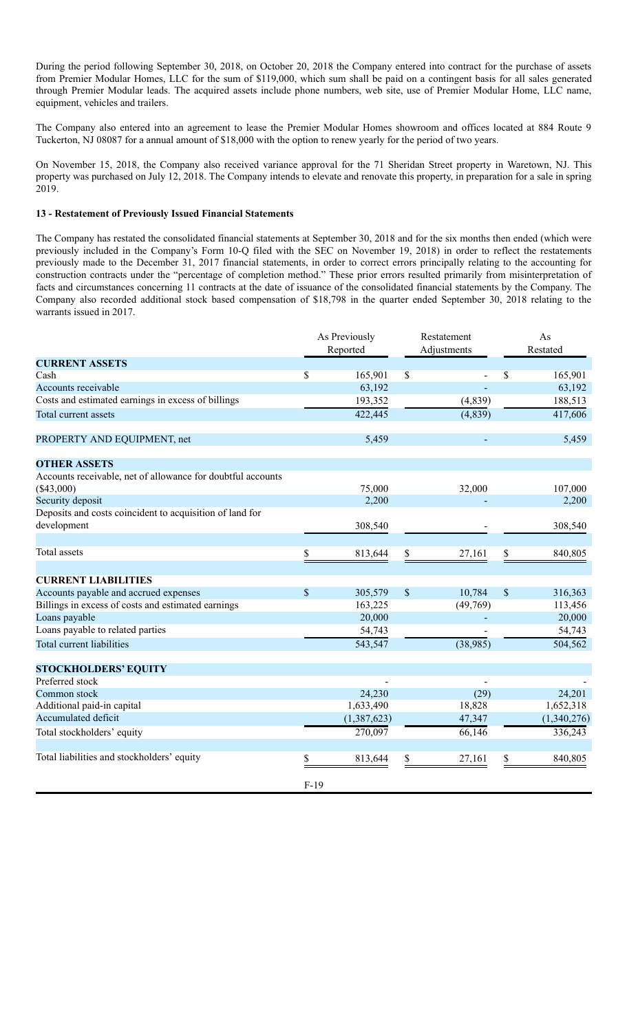During the period following September 30, 2018, on October 20, 2018 the Company entered into contract for the purchase of assets from Premier Modular Homes, LLC for the sum of \$119,000, which sum shall be paid on a contingent basis for all sales generated through Premier Modular leads. The acquired assets include phone numbers, web site, use of Premier Modular Home, LLC name, equipment, vehicles and trailers.

The Company also entered into an agreement to lease the Premier Modular Homes showroom and offices located at 884 Route 9 Tuckerton, NJ 08087 for a annual amount of \$18,000 with the option to renew yearly for the period of two years.

On November 15, 2018, the Company also received variance approval for the 71 Sheridan Street property in Waretown, NJ. This property was purchased on July 12, 2018. The Company intends to elevate and renovate this property, in preparation for a sale in spring 2019.

## **13 - Restatement of Previously Issued Financial Statements**

The Company has restated the consolidated financial statements at September 30, 2018 and for the six months then ended (which were previously included in the Company's Form 10-Q filed with the SEC on November 19, 2018) in order to reflect the restatements previously made to the December 31, 2017 financial statements, in order to correct errors principally relating to the accounting for construction contracts under the "percentage of completion method." These prior errors resulted primarily from misinterpretation of facts and circumstances concerning 11 contracts at the date of issuance of the consolidated financial statements by the Company. The Company also recorded additional stock based compensation of \$18,798 in the quarter ended September 30, 2018 relating to the warrants issued in 2017.

|                                                                         |        | As Previously<br>Reported |      | Restatement<br>Adjustments |    | As<br>Restated |
|-------------------------------------------------------------------------|--------|---------------------------|------|----------------------------|----|----------------|
| <b>CURRENT ASSETS</b>                                                   |        |                           |      |                            |    |                |
| Cash                                                                    | \$     | 165,901                   | \$   | $\frac{1}{2}$              | \$ | 165,901        |
| Accounts receivable                                                     |        | 63,192                    |      |                            |    | 63,192         |
| Costs and estimated earnings in excess of billings                      |        | 193,352                   |      | (4, 839)                   |    | 188,513        |
| Total current assets                                                    |        | 422,445                   |      | (4, 839)                   |    | 417,606        |
| PROPERTY AND EQUIPMENT, net                                             |        | 5,459                     |      |                            |    | 5,459          |
| <b>OTHER ASSETS</b>                                                     |        |                           |      |                            |    |                |
| Accounts receivable, net of allowance for doubtful accounts             |        |                           |      |                            |    |                |
| $(\$43,000)$                                                            |        | 75,000                    |      | 32,000                     |    | 107,000        |
| Security deposit                                                        |        | 2,200                     |      |                            |    | 2,200          |
| Deposits and costs coincident to acquisition of land for<br>development |        | 308,540                   |      |                            |    | 308,540        |
|                                                                         |        |                           |      |                            |    |                |
| <b>Total</b> assets                                                     | \$     | 813,644                   | \$   | 27,161                     | \$ | 840,805        |
|                                                                         |        |                           |      |                            |    |                |
| <b>CURRENT LIABILITIES</b>                                              |        |                           |      |                            |    |                |
| Accounts payable and accrued expenses                                   | \$     | 305,579                   | $\$$ | 10,784                     | \$ | 316,363        |
| Billings in excess of costs and estimated earnings                      |        | 163,225                   |      | (49,769)                   |    | 113,456        |
| Loans payable                                                           |        | 20,000                    |      |                            |    | 20,000         |
| Loans payable to related parties                                        |        | 54,743                    |      |                            |    | 54,743         |
| <b>Total current liabilities</b>                                        |        | 543,547                   |      | (38,985)                   |    | 504,562        |
| <b>STOCKHOLDERS' EQUITY</b>                                             |        |                           |      |                            |    |                |
| Preferred stock                                                         |        |                           |      |                            |    |                |
| Common stock                                                            |        | 24,230                    |      | (29)                       |    | 24,201         |
| Additional paid-in capital                                              |        | 1,633,490                 |      | 18,828                     |    | 1,652,318      |
| Accumulated deficit                                                     |        | (1,387,623)               |      | 47,347                     |    | (1,340,276)    |
| Total stockholders' equity                                              |        | 270,097                   |      | 66,146                     |    | 336,243        |
| Total liabilities and stockholders' equity                              | \$     | 813,644                   | \$   | 27,161                     | \$ | 840,805        |
|                                                                         | $F-19$ |                           |      |                            |    |                |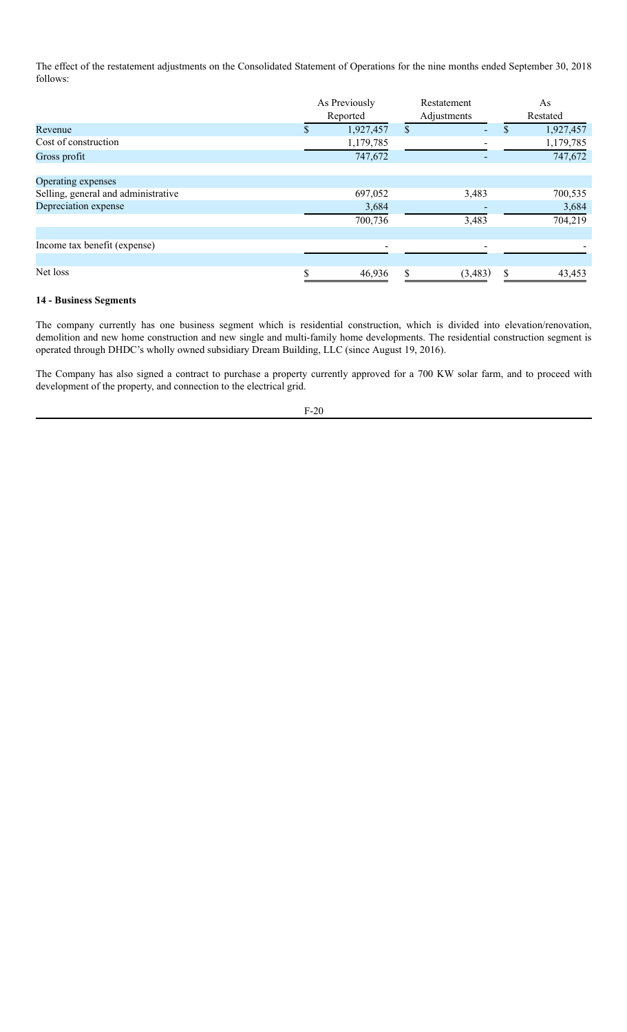The effect of the restatement adjustments on the Consolidated Statement of Operations for the nine months ended September 30, 2018 follows:

|                                     | As Previously<br>Reported |           |             | Restatement              |          | As        |
|-------------------------------------|---------------------------|-----------|-------------|--------------------------|----------|-----------|
|                                     |                           |           | Adjustments |                          | Restated |           |
| Revenue                             | S                         | 1,927,457 |             | $\overline{\phantom{a}}$ |          | 1,927,457 |
| Cost of construction                |                           | 1,179,785 |             | $\overline{\phantom{a}}$ |          | 1,179,785 |
| Gross profit                        |                           | 747,672   |             |                          |          | 747,672   |
| Operating expenses                  |                           |           |             |                          |          |           |
| Selling, general and administrative |                           | 697,052   |             | 3,483                    |          | 700,535   |
| Depreciation expense                |                           | 3,684     |             |                          |          | 3,684     |
|                                     |                           | 700,736   |             | 3,483                    |          | 704,219   |
| Income tax benefit (expense)        |                           |           |             |                          |          |           |
| Net loss                            | \$                        | 46,936    | S.          | (3,483)                  |          | 43,453    |

## **14 - Business Segments**

The company currently has one business segment which is residential construction, which is divided into elevation/renovation, demolition and new home construction and new single and multi-family home developments. The residential construction segment is operated through DHDC's wholly owned subsidiary Dream Building, LLC (since August 19, 2016).

The Company has also signed a contract to purchase a property currently approved for a 700 KW solar farm, and to proceed with development of the property, and connection to the electrical grid.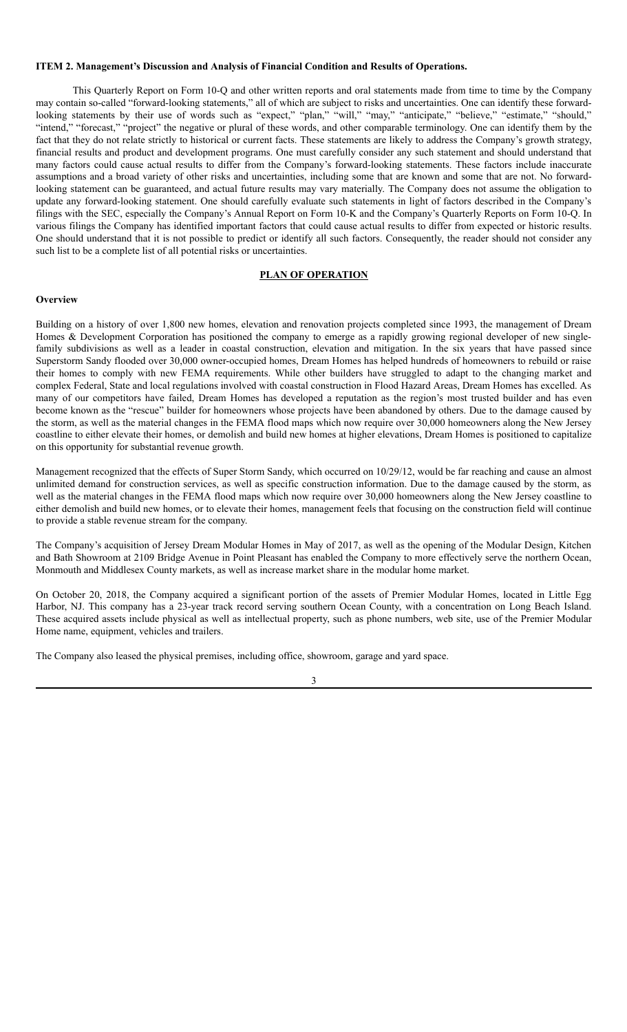#### <span id="page-23-0"></span>**ITEM 2. Management's Discussion and Analysis of Financial Condition and Results of Operations.**

This Quarterly Report on Form 10-Q and other written reports and oral statements made from time to time by the Company may contain so-called "forward-looking statements," all of which are subject to risks and uncertainties. One can identify these forwardlooking statements by their use of words such as "expect," "plan," "will," "may," "anticipate," "believe," "estimate," "should," "intend," "forecast," "project" the negative or plural of these words, and other comparable terminology. One can identify them by the fact that they do not relate strictly to historical or current facts. These statements are likely to address the Company's growth strategy, financial results and product and development programs. One must carefully consider any such statement and should understand that many factors could cause actual results to differ from the Company's forward-looking statements. These factors include inaccurate assumptions and a broad variety of other risks and uncertainties, including some that are known and some that are not. No forwardlooking statement can be guaranteed, and actual future results may vary materially. The Company does not assume the obligation to update any forward-looking statement. One should carefully evaluate such statements in light of factors described in the Company's filings with the SEC, especially the Company's Annual Report on Form 10-K and the Company's Quarterly Reports on Form 10-Q. In various filings the Company has identified important factors that could cause actual results to differ from expected or historic results. One should understand that it is not possible to predict or identify all such factors. Consequently, the reader should not consider any such list to be a complete list of all potential risks or uncertainties.

## **PLAN OF OPERATION**

#### **Overview**

Building on a history of over 1,800 new homes, elevation and renovation projects completed since 1993, the management of Dream Homes & Development Corporation has positioned the company to emerge as a rapidly growing regional developer of new singlefamily subdivisions as well as a leader in coastal construction, elevation and mitigation. In the six years that have passed since Superstorm Sandy flooded over 30,000 owner-occupied homes, Dream Homes has helped hundreds of homeowners to rebuild or raise their homes to comply with new FEMA requirements. While other builders have struggled to adapt to the changing market and complex Federal, State and local regulations involved with coastal construction in Flood Hazard Areas, Dream Homes has excelled. As many of our competitors have failed, Dream Homes has developed a reputation as the region's most trusted builder and has even become known as the "rescue" builder for homeowners whose projects have been abandoned by others. Due to the damage caused by the storm, as well as the material changes in the FEMA flood maps which now require over 30,000 homeowners along the New Jersey coastline to either elevate their homes, or demolish and build new homes at higher elevations, Dream Homes is positioned to capitalize on this opportunity for substantial revenue growth.

Management recognized that the effects of Super Storm Sandy, which occurred on 10/29/12, would be far reaching and cause an almost unlimited demand for construction services, as well as specific construction information. Due to the damage caused by the storm, as well as the material changes in the FEMA flood maps which now require over 30,000 homeowners along the New Jersey coastline to either demolish and build new homes, or to elevate their homes, management feels that focusing on the construction field will continue to provide a stable revenue stream for the company.

The Company's acquisition of Jersey Dream Modular Homes in May of 2017, as well as the opening of the Modular Design, Kitchen and Bath Showroom at 2109 Bridge Avenue in Point Pleasant has enabled the Company to more effectively serve the northern Ocean, Monmouth and Middlesex County markets, as well as increase market share in the modular home market.

On October 20, 2018, the Company acquired a significant portion of the assets of Premier Modular Homes, located in Little Egg Harbor, NJ. This company has a 23-year track record serving southern Ocean County, with a concentration on Long Beach Island. These acquired assets include physical as well as intellectual property, such as phone numbers, web site, use of the Premier Modular Home name, equipment, vehicles and trailers.

The Company also leased the physical premises, including office, showroom, garage and yard space.

3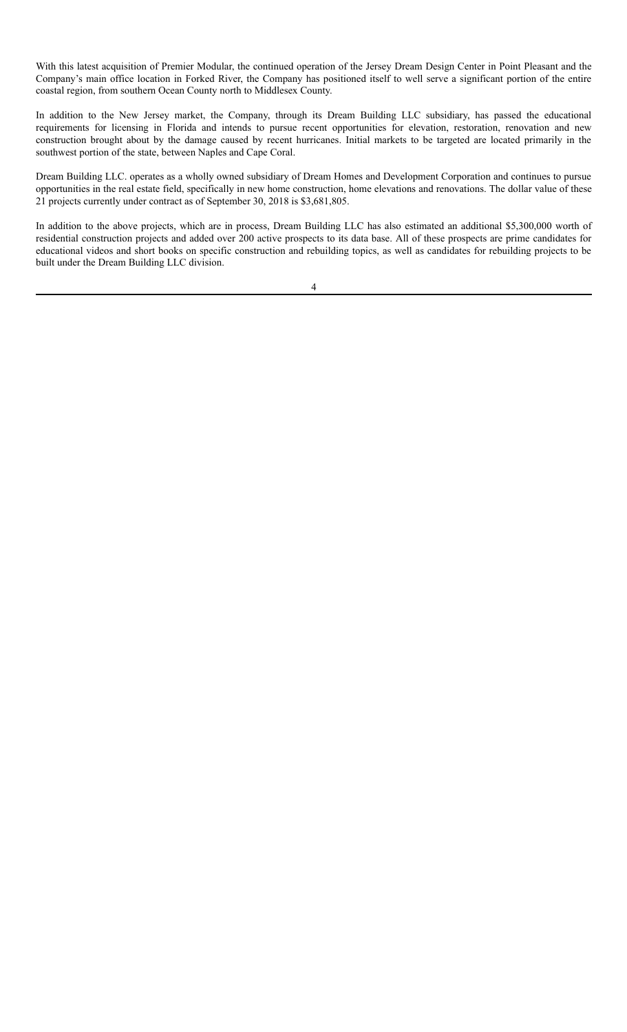With this latest acquisition of Premier Modular, the continued operation of the Jersey Dream Design Center in Point Pleasant and the Company's main office location in Forked River, the Company has positioned itself to well serve a significant portion of the entire coastal region, from southern Ocean County north to Middlesex County.

In addition to the New Jersey market, the Company, through its Dream Building LLC subsidiary, has passed the educational requirements for licensing in Florida and intends to pursue recent opportunities for elevation, restoration, renovation and new construction brought about by the damage caused by recent hurricanes. Initial markets to be targeted are located primarily in the southwest portion of the state, between Naples and Cape Coral.

Dream Building LLC. operates as a wholly owned subsidiary of Dream Homes and Development Corporation and continues to pursue opportunities in the real estate field, specifically in new home construction, home elevations and renovations. The dollar value of these 21 projects currently under contract as of September 30, 2018 is \$3,681,805.

In addition to the above projects, which are in process, Dream Building LLC has also estimated an additional \$5,300,000 worth of residential construction projects and added over 200 active prospects to its data base. All of these prospects are prime candidates for educational videos and short books on specific construction and rebuilding topics, as well as candidates for rebuilding projects to be built under the Dream Building LLC division.

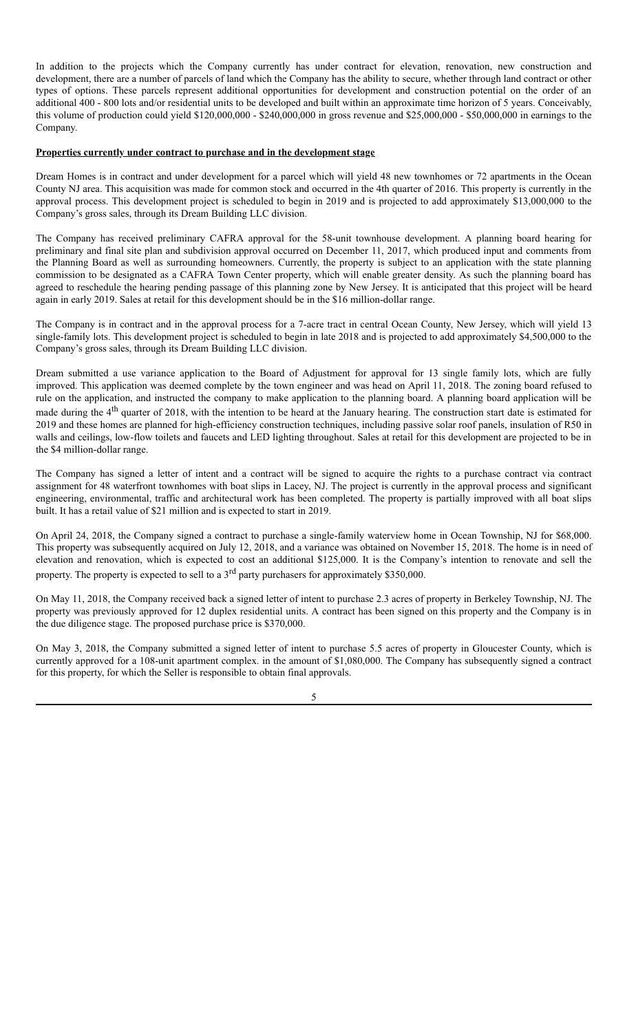In addition to the projects which the Company currently has under contract for elevation, renovation, new construction and development, there are a number of parcels of land which the Company has the ability to secure, whether through land contract or other types of options. These parcels represent additional opportunities for development and construction potential on the order of an additional 400 - 800 lots and/or residential units to be developed and built within an approximate time horizon of 5 years. Conceivably, this volume of production could yield \$120,000,000 - \$240,000,000 in gross revenue and \$25,000,000 - \$50,000,000 in earnings to the Company.

## **Properties currently under contract to purchase and in the development stage**

Dream Homes is in contract and under development for a parcel which will yield 48 new townhomes or 72 apartments in the Ocean County NJ area. This acquisition was made for common stock and occurred in the 4th quarter of 2016. This property is currently in the approval process. This development project is scheduled to begin in 2019 and is projected to add approximately \$13,000,000 to the Company's gross sales, through its Dream Building LLC division.

The Company has received preliminary CAFRA approval for the 58-unit townhouse development. A planning board hearing for preliminary and final site plan and subdivision approval occurred on December 11, 2017, which produced input and comments from the Planning Board as well as surrounding homeowners. Currently, the property is subject to an application with the state planning commission to be designated as a CAFRA Town Center property, which will enable greater density. As such the planning board has agreed to reschedule the hearing pending passage of this planning zone by New Jersey. It is anticipated that this project will be heard again in early 2019. Sales at retail for this development should be in the \$16 million-dollar range.

The Company is in contract and in the approval process for a 7-acre tract in central Ocean County, New Jersey, which will yield 13 single-family lots. This development project is scheduled to begin in late 2018 and is projected to add approximately \$4,500,000 to the Company's gross sales, through its Dream Building LLC division.

Dream submitted a use variance application to the Board of Adjustment for approval for 13 single family lots, which are fully improved. This application was deemed complete by the town engineer and was head on April 11, 2018. The zoning board refused to rule on the application, and instructed the company to make application to the planning board. A planning board application will be made during the 4<sup>th</sup> quarter of 2018, with the intention to be heard at the January hearing. The construction start date is estimated for 2019 and these homes are planned for high-efficiency construction techniques, including passive solar roof panels, insulation of R50 in walls and ceilings, low-flow toilets and faucets and LED lighting throughout. Sales at retail for this development are projected to be in the \$4 million-dollar range.

The Company has signed a letter of intent and a contract will be signed to acquire the rights to a purchase contract via contract assignment for 48 waterfront townhomes with boat slips in Lacey, NJ. The project is currently in the approval process and significant engineering, environmental, traffic and architectural work has been completed. The property is partially improved with all boat slips built. It has a retail value of \$21 million and is expected to start in 2019.

On April 24, 2018, the Company signed a contract to purchase a single-family waterview home in Ocean Township, NJ for \$68,000. This property was subsequently acquired on July 12, 2018, and a variance was obtained on November 15, 2018. The home is in need of elevation and renovation, which is expected to cost an additional \$125,000. It is the Company's intention to renovate and sell the property. The property is expected to sell to a 3<sup>rd</sup> party purchasers for approximately \$350,000.

On May 11, 2018, the Company received back a signed letter of intent to purchase 2.3 acres of property in Berkeley Township, NJ. The property was previously approved for 12 duplex residential units. A contract has been signed on this property and the Company is in the due diligence stage. The proposed purchase price is \$370,000.

On May 3, 2018, the Company submitted a signed letter of intent to purchase 5.5 acres of property in Gloucester County, which is currently approved for a 108-unit apartment complex. in the amount of \$1,080,000. The Company has subsequently signed a contract for this property, for which the Seller is responsible to obtain final approvals.

5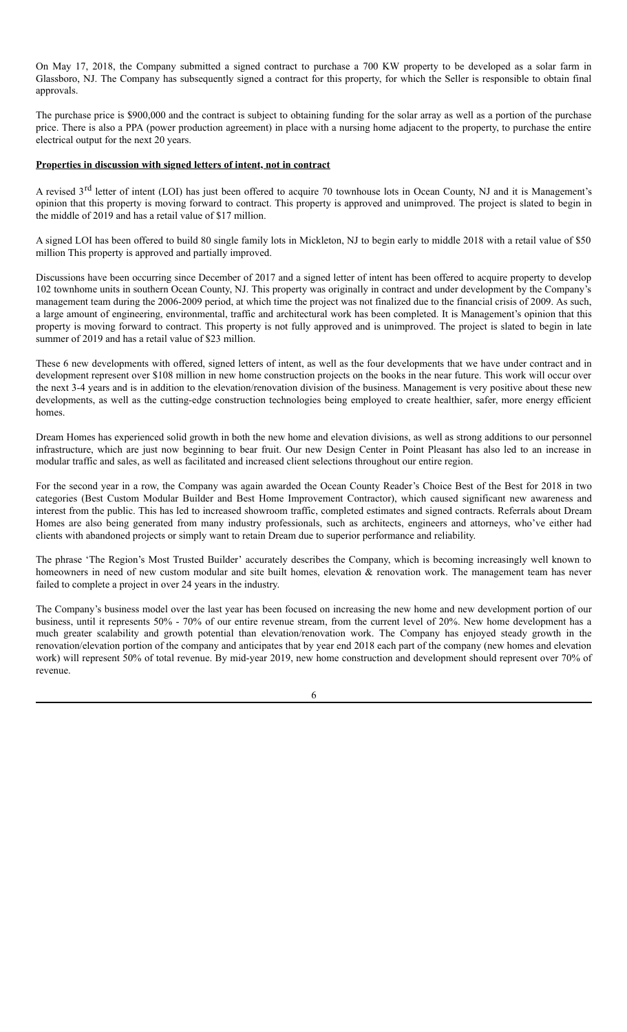On May 17, 2018, the Company submitted a signed contract to purchase a 700 KW property to be developed as a solar farm in Glassboro, NJ. The Company has subsequently signed a contract for this property, for which the Seller is responsible to obtain final approvals.

The purchase price is \$900,000 and the contract is subject to obtaining funding for the solar array as well as a portion of the purchase price. There is also a PPA (power production agreement) in place with a nursing home adjacent to the property, to purchase the entire electrical output for the next 20 years.

## **Properties in discussion with signed letters of intent, not in contract**

A revised 3<sup>rd</sup> letter of intent (LOI) has just been offered to acquire 70 townhouse lots in Ocean County, NJ and it is Management's opinion that this property is moving forward to contract. This property is approved and unimproved. The project is slated to begin in the middle of 2019 and has a retail value of \$17 million.

A signed LOI has been offered to build 80 single family lots in Mickleton, NJ to begin early to middle 2018 with a retail value of \$50 million This property is approved and partially improved.

Discussions have been occurring since December of 2017 and a signed letter of intent has been offered to acquire property to develop 102 townhome units in southern Ocean County, NJ. This property was originally in contract and under development by the Company's management team during the 2006-2009 period, at which time the project was not finalized due to the financial crisis of 2009. As such, a large amount of engineering, environmental, traffic and architectural work has been completed. It is Management's opinion that this property is moving forward to contract. This property is not fully approved and is unimproved. The project is slated to begin in late summer of 2019 and has a retail value of \$23 million.

These 6 new developments with offered, signed letters of intent, as well as the four developments that we have under contract and in development represent over \$108 million in new home construction projects on the books in the near future. This work will occur over the next 3-4 years and is in addition to the elevation/renovation division of the business. Management is very positive about these new developments, as well as the cutting-edge construction technologies being employed to create healthier, safer, more energy efficient homes.

Dream Homes has experienced solid growth in both the new home and elevation divisions, as well as strong additions to our personnel infrastructure, which are just now beginning to bear fruit. Our new Design Center in Point Pleasant has also led to an increase in modular traffic and sales, as well as facilitated and increased client selections throughout our entire region.

For the second year in a row, the Company was again awarded the Ocean County Reader's Choice Best of the Best for 2018 in two categories (Best Custom Modular Builder and Best Home Improvement Contractor), which caused significant new awareness and interest from the public. This has led to increased showroom traffic, completed estimates and signed contracts. Referrals about Dream Homes are also being generated from many industry professionals, such as architects, engineers and attorneys, who've either had clients with abandoned projects or simply want to retain Dream due to superior performance and reliability.

The phrase 'The Region's Most Trusted Builder' accurately describes the Company, which is becoming increasingly well known to homeowners in need of new custom modular and site built homes, elevation & renovation work. The management team has never failed to complete a project in over 24 years in the industry.

The Company's business model over the last year has been focused on increasing the new home and new development portion of our business, until it represents 50% - 70% of our entire revenue stream, from the current level of 20%. New home development has a much greater scalability and growth potential than elevation/renovation work. The Company has enjoyed steady growth in the renovation/elevation portion of the company and anticipates that by year end 2018 each part of the company (new homes and elevation work) will represent 50% of total revenue. By mid-year 2019, new home construction and development should represent over 70% of revenue.

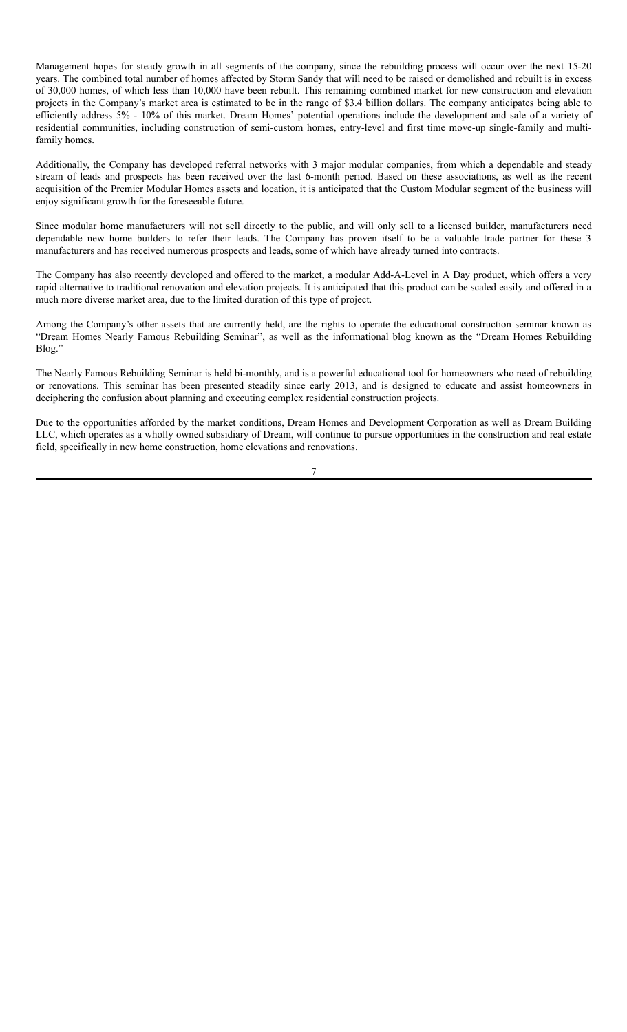Management hopes for steady growth in all segments of the company, since the rebuilding process will occur over the next 15-20 years. The combined total number of homes affected by Storm Sandy that will need to be raised or demolished and rebuilt is in excess of 30,000 homes, of which less than 10,000 have been rebuilt. This remaining combined market for new construction and elevation projects in the Company's market area is estimated to be in the range of \$3.4 billion dollars. The company anticipates being able to efficiently address 5% - 10% of this market. Dream Homes' potential operations include the development and sale of a variety of residential communities, including construction of semi-custom homes, entry-level and first time move-up single-family and multifamily homes.

Additionally, the Company has developed referral networks with 3 major modular companies, from which a dependable and steady stream of leads and prospects has been received over the last 6-month period. Based on these associations, as well as the recent acquisition of the Premier Modular Homes assets and location, it is anticipated that the Custom Modular segment of the business will enjoy significant growth for the foreseeable future.

Since modular home manufacturers will not sell directly to the public, and will only sell to a licensed builder, manufacturers need dependable new home builders to refer their leads. The Company has proven itself to be a valuable trade partner for these 3 manufacturers and has received numerous prospects and leads, some of which have already turned into contracts.

The Company has also recently developed and offered to the market, a modular Add-A-Level in A Day product, which offers a very rapid alternative to traditional renovation and elevation projects. It is anticipated that this product can be scaled easily and offered in a much more diverse market area, due to the limited duration of this type of project.

Among the Company's other assets that are currently held, are the rights to operate the educational construction seminar known as "Dream Homes Nearly Famous Rebuilding Seminar", as well as the informational blog known as the "Dream Homes Rebuilding Blog."

The Nearly Famous Rebuilding Seminar is held bi-monthly, and is a powerful educational tool for homeowners who need of rebuilding or renovations. This seminar has been presented steadily since early 2013, and is designed to educate and assist homeowners in deciphering the confusion about planning and executing complex residential construction projects.

Due to the opportunities afforded by the market conditions, Dream Homes and Development Corporation as well as Dream Building LLC, which operates as a wholly owned subsidiary of Dream, will continue to pursue opportunities in the construction and real estate field, specifically in new home construction, home elevations and renovations.

7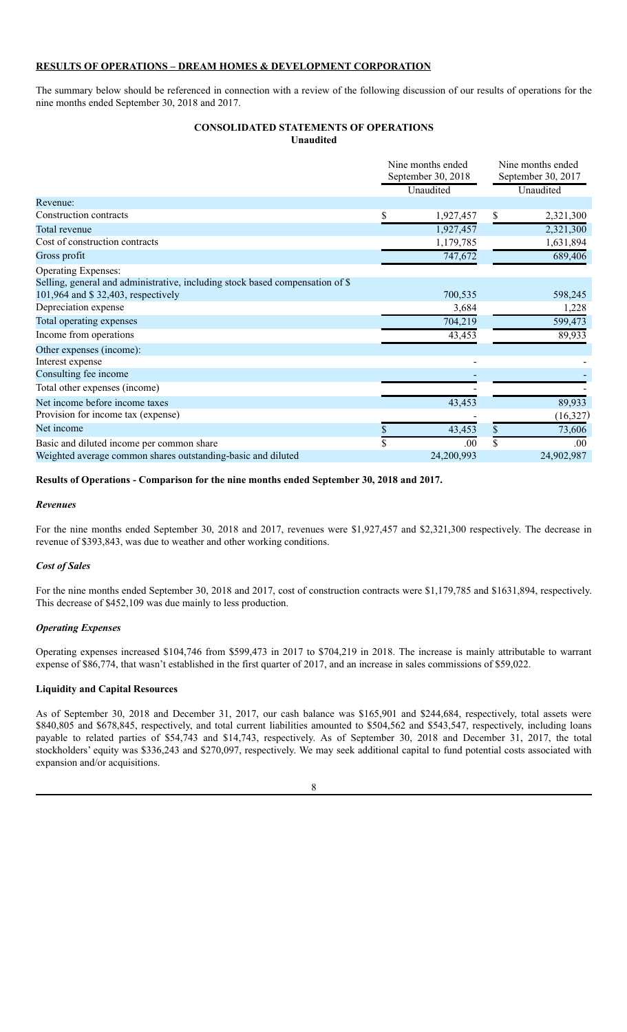## **RESULTS OF OPERATIONS – DREAM HOMES & DEVELOPMENT CORPORATION**

The summary below should be referenced in connection with a review of the following discussion of our results of operations for the nine months ended September 30, 2018 and 2017.

## **CONSOLIDATED STATEMENTS OF OPERATIONS Unaudited**

|                                                                               | Nine months ended<br>September 30, 2018<br>Unaudited |            | Nine months ended<br>September 30, 2017<br>Unaudited |            |
|-------------------------------------------------------------------------------|------------------------------------------------------|------------|------------------------------------------------------|------------|
|                                                                               |                                                      |            |                                                      |            |
| Revenue:                                                                      |                                                      |            |                                                      |            |
| Construction contracts                                                        | S                                                    | 1,927,457  | \$                                                   | 2,321,300  |
| Total revenue                                                                 |                                                      | 1,927,457  |                                                      | 2,321,300  |
| Cost of construction contracts                                                |                                                      | 1,179,785  |                                                      | 1,631,894  |
| Gross profit                                                                  |                                                      | 747,672    |                                                      | 689,406    |
| <b>Operating Expenses:</b>                                                    |                                                      |            |                                                      |            |
| Selling, general and administrative, including stock based compensation of \$ |                                                      |            |                                                      |            |
| 101,964 and \$32,403, respectively                                            |                                                      | 700,535    |                                                      | 598,245    |
| Depreciation expense                                                          |                                                      | 3,684      |                                                      | 1,228      |
| Total operating expenses                                                      |                                                      | 704,219    |                                                      | 599,473    |
| Income from operations                                                        |                                                      | 43,453     |                                                      | 89,933     |
| Other expenses (income):                                                      |                                                      |            |                                                      |            |
| Interest expense                                                              |                                                      |            |                                                      |            |
| Consulting fee income                                                         |                                                      |            |                                                      |            |
| Total other expenses (income)                                                 |                                                      |            |                                                      |            |
| Net income before income taxes                                                |                                                      | 43,453     |                                                      | 89,933     |
| Provision for income tax (expense)                                            |                                                      |            |                                                      | (16, 327)  |
| Net income                                                                    |                                                      | 43,453     | $\mathbf{\hat{S}}$                                   | 73,606     |
| Basic and diluted income per common share                                     | \$                                                   | .00        | \$                                                   | .00.       |
| Weighted average common shares outstanding-basic and diluted                  |                                                      | 24,200,993 |                                                      | 24,902,987 |

#### **Results of Operations - Comparison for the nine months ended September 30, 2018 and 2017.**

#### *Revenues*

For the nine months ended September 30, 2018 and 2017, revenues were \$1,927,457 and \$2,321,300 respectively. The decrease in revenue of \$393,843, was due to weather and other working conditions.

## *Cost of Sales*

For the nine months ended September 30, 2018 and 2017, cost of construction contracts were \$1,179,785 and \$1631,894, respectively. This decrease of \$452,109 was due mainly to less production.

## *Operating Expenses*

Operating expenses increased \$104,746 from \$599,473 in 2017 to \$704,219 in 2018. The increase is mainly attributable to warrant expense of \$86,774, that wasn't established in the first quarter of 2017, and an increase in sales commissions of \$59,022.

## **Liquidity and Capital Resources**

As of September 30, 2018 and December 31, 2017, our cash balance was \$165,901 and \$244,684, respectively, total assets were \$840,805 and \$678,845, respectively, and total current liabilities amounted to \$504,562 and \$543,547, respectively, including loans payable to related parties of \$54,743 and \$14,743, respectively. As of September 30, 2018 and December 31, 2017, the total stockholders' equity was \$336,243 and \$270,097, respectively. We may seek additional capital to fund potential costs associated with expansion and/or acquisitions.

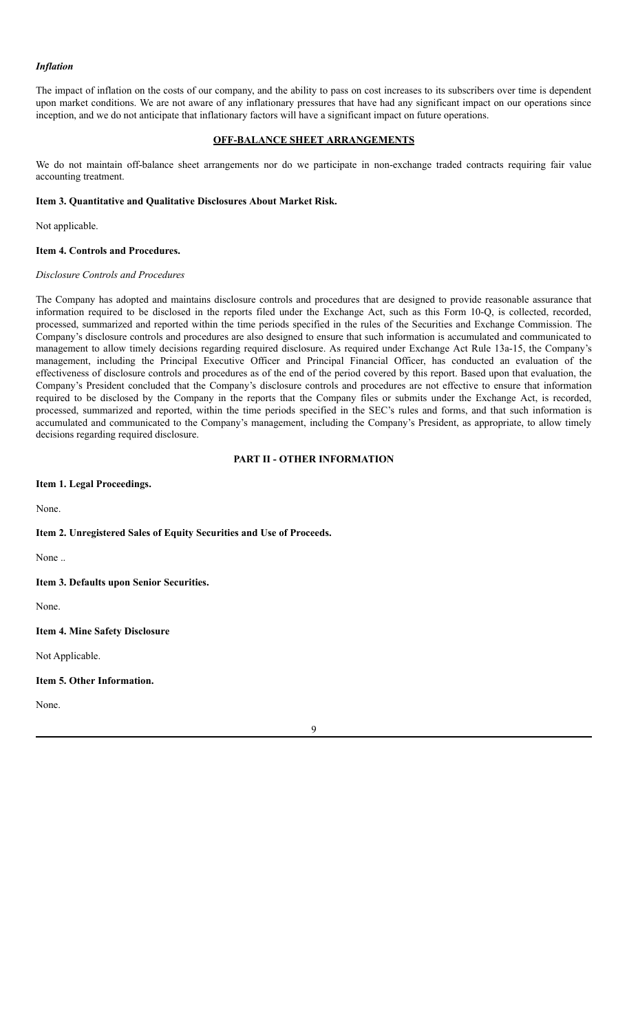## *Inflation*

The impact of inflation on the costs of our company, and the ability to pass on cost increases to its subscribers over time is dependent upon market conditions. We are not aware of any inflationary pressures that have had any significant impact on our operations since inception, and we do not anticipate that inflationary factors will have a significant impact on future operations.

## **OFF-BALANCE SHEET ARRANGEMENTS**

We do not maintain off-balance sheet arrangements nor do we participate in non-exchange traded contracts requiring fair value accounting treatment.

## <span id="page-29-0"></span>**Item 3. Quantitative and Qualitative Disclosures About Market Risk.**

Not applicable.

## <span id="page-29-1"></span>**Item 4. Controls and Procedures.**

## *Disclosure Controls and Procedures*

The Company has adopted and maintains disclosure controls and procedures that are designed to provide reasonable assurance that information required to be disclosed in the reports filed under the Exchange Act, such as this Form 10-Q, is collected, recorded, processed, summarized and reported within the time periods specified in the rules of the Securities and Exchange Commission. The Company's disclosure controls and procedures are also designed to ensure that such information is accumulated and communicated to management to allow timely decisions regarding required disclosure. As required under Exchange Act Rule 13a-15, the Company's management, including the Principal Executive Officer and Principal Financial Officer, has conducted an evaluation of the effectiveness of disclosure controls and procedures as of the end of the period covered by this report. Based upon that evaluation, the Company's President concluded that the Company's disclosure controls and procedures are not effective to ensure that information required to be disclosed by the Company in the reports that the Company files or submits under the Exchange Act, is recorded, processed, summarized and reported, within the time periods specified in the SEC's rules and forms, and that such information is accumulated and communicated to the Company's management, including the Company's President, as appropriate, to allow timely decisions regarding required disclosure.

## **PART II - OTHER INFORMATION**

## <span id="page-29-3"></span><span id="page-29-2"></span>**Item 1. Legal Proceedings.**

None.

<span id="page-29-4"></span>**Item 2. Unregistered Sales of Equity Securities and Use of Proceeds.**

None ..

<span id="page-29-5"></span>**Item 3. Defaults upon Senior Securities.**

None.

<span id="page-29-6"></span>**Item 4. Mine Safety Disclosure**

Not Applicable.

## <span id="page-29-7"></span>**Item 5. Other Information.**

None.

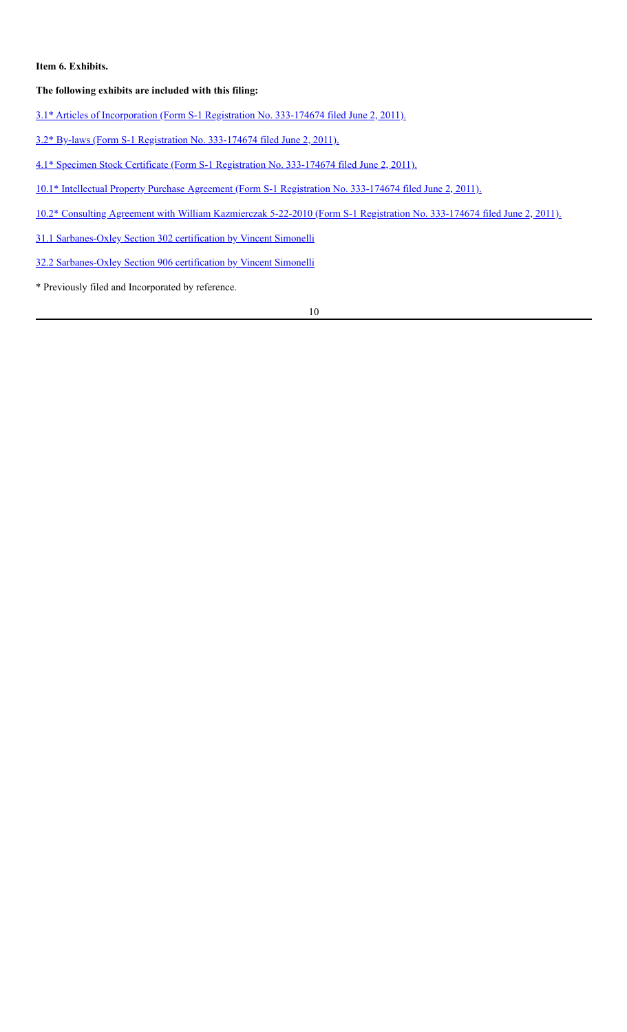## <span id="page-30-0"></span>**Item 6. Exhibits.**

## **The following exhibits are included with this filing:**

- 3.1\* Articles of [Incorporation](http://www.sec.gov/Archives/edgar/data/1518336/000151833611000003/exhibit_3articlesofincorpora.htm) (Form S-1 Registration No. 333-174674 filed June 2, 2011).
- 3.2\* By-laws (Form S-1 [Registration](http://www.sec.gov/Archives/edgar/data/1518336/000151833611000003/bylaws.htm) No. 333-174674 filed June 2, 2011).
- 4.1\* Specimen Stock Certificate (Form S-1 [Registration](http://www.sec.gov/Archives/edgar/data/1518336/000151833611000003/ex4samplestockcert.htm) No. 333-174674 filed June 2, 2011).
- 10.1\* Intellectual Property Purchase Agreement (Form S-1 [Registration](http://www.sec.gov/Archives/edgar/data/1518336/000151833611000003/agreementwithterrareip.htm) No. 333-174674 filed June 2, 2011).
- 10.2\* Consulting Agreement with William [Kazmierczak](http://www.sec.gov/Archives/edgar/data/1518336/000151833611000003/ex_101kazmierczackagreement0.htm) 5-22-2010 (Form S-1 Registration No. 333-174674 filed June 2, 2011).
- 31.1 [Sarbanes-Oxley](http://compliance-sec.com/secfilings/company/VRTR/link_files/2019/09-23-2019/Form10QA(09-23-2019)DreamHomesandDevelopment/ex31-1.htm) Section 302 certification by Vincent Simonelli
- 32.2 [Sarbanes-Oxley](http://compliance-sec.com/secfilings/company/VRTR/link_files/2019/09-23-2019/Form10QA(09-23-2019)DreamHomesandDevelopment/ex32-2.htm) Section 906 certification by Vincent Simonelli
- \* Previously filed and Incorporated by reference.

10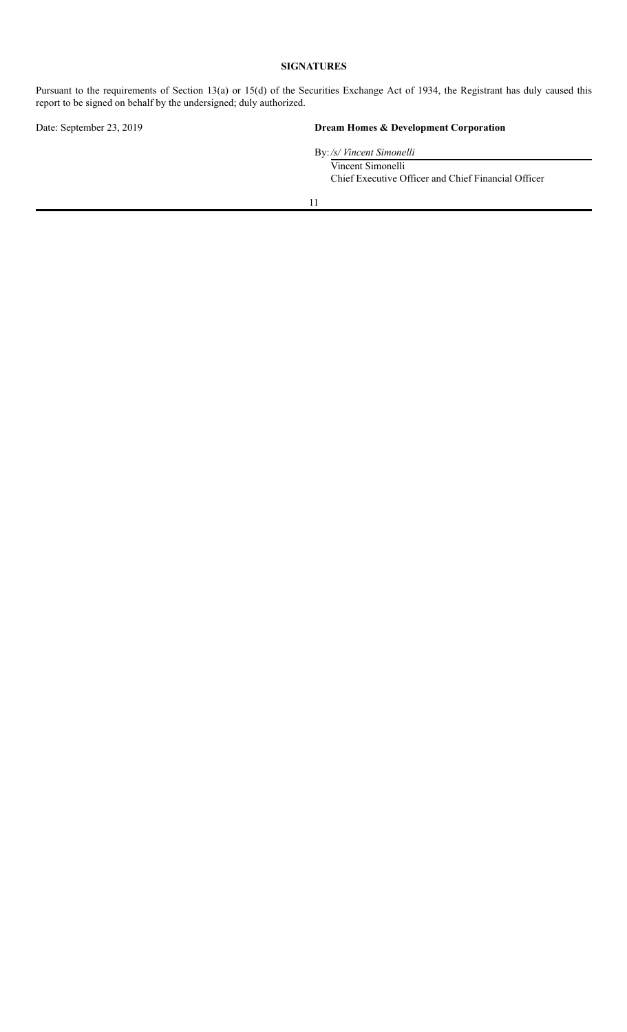## **SIGNATURES**

<span id="page-31-0"></span>Pursuant to the requirements of Section 13(a) or 15(d) of the Securities Exchange Act of 1934, the Registrant has duly caused this report to be signed on behalf by the undersigned; duly authorized.

## Date: September 23, 2019 **Dream Homes & Development Corporation**

By:*/s/ Vincent Simonelli* Vincent Simonelli Chief Executive Officer and Chief Financial Officer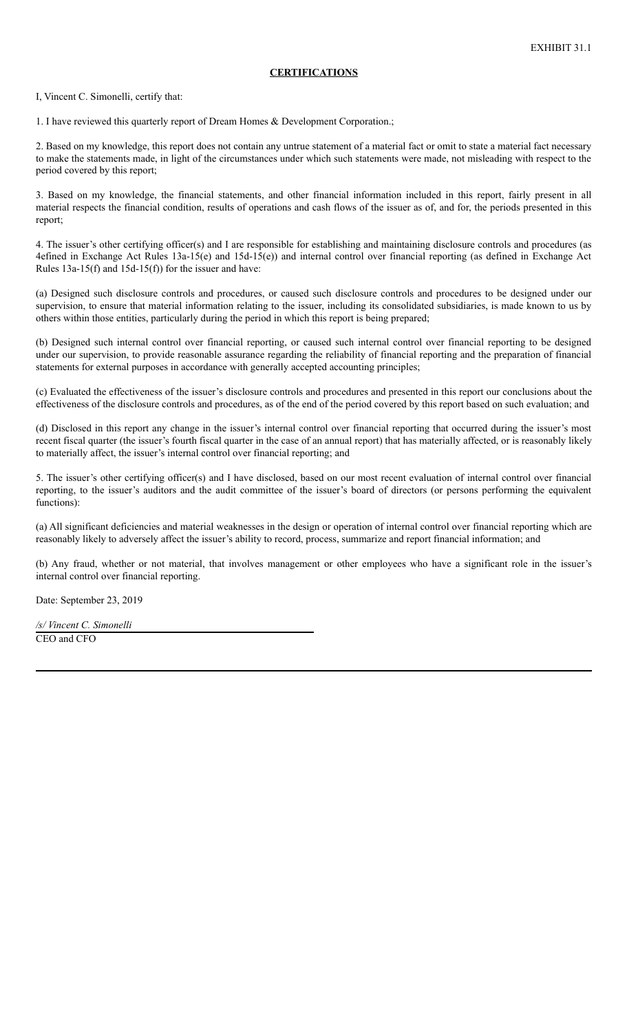## **CERTIFICATIONS**

I, Vincent C. Simonelli, certify that:

1. I have reviewed this quarterly report of Dream Homes & Development Corporation.;

2. Based on my knowledge, this report does not contain any untrue statement of a material fact or omit to state a material fact necessary to make the statements made, in light of the circumstances under which such statements were made, not misleading with respect to the period covered by this report;

3. Based on my knowledge, the financial statements, and other financial information included in this report, fairly present in all material respects the financial condition, results of operations and cash flows of the issuer as of, and for, the periods presented in this report;

4. The issuer's other certifying officer(s) and I are responsible for establishing and maintaining disclosure controls and procedures (as 4efined in Exchange Act Rules 13a-15(e) and 15d-15(e)) and internal control over financial reporting (as defined in Exchange Act Rules 13a-15(f) and 15d-15(f)) for the issuer and have:

(a) Designed such disclosure controls and procedures, or caused such disclosure controls and procedures to be designed under our supervision, to ensure that material information relating to the issuer, including its consolidated subsidiaries, is made known to us by others within those entities, particularly during the period in which this report is being prepared;

(b) Designed such internal control over financial reporting, or caused such internal control over financial reporting to be designed under our supervision, to provide reasonable assurance regarding the reliability of financial reporting and the preparation of financial statements for external purposes in accordance with generally accepted accounting principles;

(c) Evaluated the effectiveness of the issuer's disclosure controls and procedures and presented in this report our conclusions about the effectiveness of the disclosure controls and procedures, as of the end of the period covered by this report based on such evaluation; and

(d) Disclosed in this report any change in the issuer's internal control over financial reporting that occurred during the issuer's most recent fiscal quarter (the issuer's fourth fiscal quarter in the case of an annual report) that has materially affected, or is reasonably likely to materially affect, the issuer's internal control over financial reporting; and

5. The issuer's other certifying officer(s) and I have disclosed, based on our most recent evaluation of internal control over financial reporting, to the issuer's auditors and the audit committee of the issuer's board of directors (or persons performing the equivalent functions):

(a) All significant deficiencies and material weaknesses in the design or operation of internal control over financial reporting which are reasonably likely to adversely affect the issuer's ability to record, process, summarize and report financial information; and

(b) Any fraud, whether or not material, that involves management or other employees who have a significant role in the issuer's internal control over financial reporting.

Date: September 23, 2019

*/s/ Vincent C. Simonelli* CEO and CFO